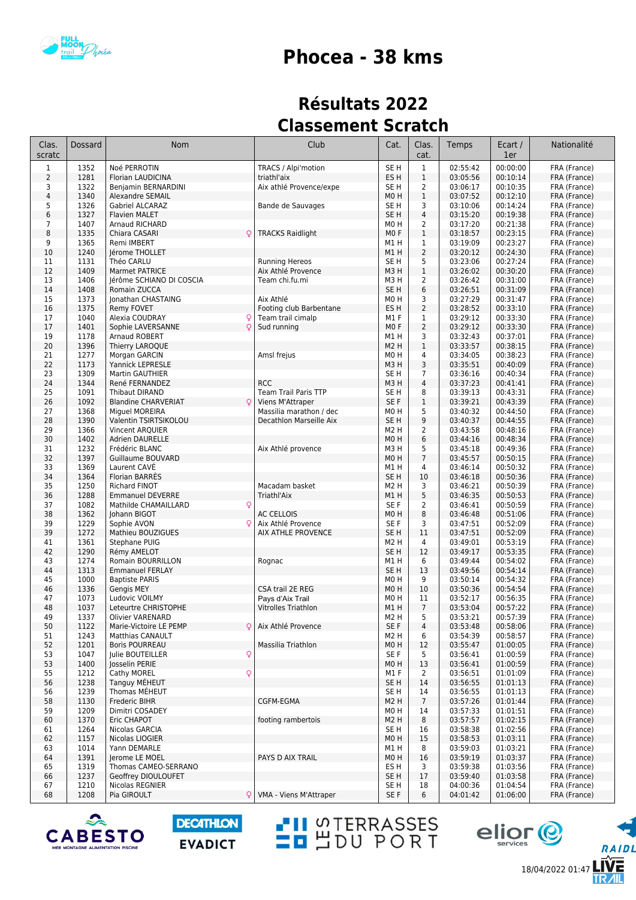

## **Phocea - 38 kms**

## **Résultats 2022 Classement Scratch**

| $\mathbf{1}$<br>00:00:00<br>$1\,$<br>1352<br>Noé PERROTIN<br>TRACS / Alpi'motion<br>SE <sub>H</sub><br>02:55:42<br>FRA (France)<br>$\overline{2}$<br>1281<br>ES <sub>H</sub><br>$1\,$<br>00:10:14<br>03:05:56<br>FRA (France)<br>Florian LAUDICINA<br>triathl'aix<br>1322<br>SE <sub>H</sub><br>$\overline{2}$<br>03:06:17<br>00:10:35<br>3<br>Benjamin BERNARDINI<br>Aix athlé Provence/expe<br>FRA (France)<br>$\overline{4}$<br>1340<br>$\mathbf{1}$<br>MO H<br>03:07:52<br>00:12:10<br>FRA (France)<br><b>Alexandre SEMAIL</b><br>5<br>1326<br>Bande de Sauvages<br>3<br>03:10:06<br>00:14:24<br>FRA (France)<br>Gabriel ALCARAZ<br>SE H<br>6<br>1327<br>SE <sub>H</sub><br>$\overline{4}$<br>00:19:38<br><b>Flavien MALET</b><br>03:15:20<br>FRA (France)<br>$\overline{7}$<br>1407<br>$\overline{2}$<br>00:21:38<br>Arnaud RICHARD<br>MO <sub>H</sub><br>03:17:20<br>FRA (France)<br>8<br>1335<br>$\mathbf{1}$<br>00:23:15<br>Chiara CASARI<br><b>TRACKS Raidlight</b><br>MO <sub>F</sub><br>03:18:57<br>FRA (France)<br>O<br>9<br>1365<br>$\mathbf{1}$<br>00:23:27<br>Remi IMBERT<br>M1 H<br>03:19:09<br>FRA (France)<br>$\overline{2}$<br>1240<br>10<br>lérome THOLLET<br>M1H<br>03:20:12<br>00:24:30<br>FRA (France)<br>5<br>11<br>1131<br><b>Running Hereos</b><br>00:27:24<br>Théo CARLU<br>SE <sub>H</sub><br>03:23:06<br>FRA (France)<br>12<br>1409<br>Marmet PATRICE<br>Aix Athlé Provence<br>$\mathbf{1}$<br>03:26:02<br>00:30:20<br>FRA (France)<br>M3H<br>00:31:00<br>13<br>1406<br>$\overline{2}$<br>03:26:42<br>FRA (France)<br>lérôme SCHIANO DI COSCIA<br>Team chi.fu.mi<br>M3H<br>6<br>00:31:09<br>1408<br>SE <sub>H</sub><br>03:26:51<br>FRA (France)<br>14<br>Romain ZUCCA<br>00:31:47<br>1373<br>Aix Athlé<br>3<br>03:27:29<br>FRA (France)<br>15<br>Jonathan CHASTAING<br>M0H<br>1375<br>$\overline{2}$<br>00:33:10<br>16<br>Footing club Barbentane<br>ES <sub>H</sub><br>03:28:52<br>FRA (France)<br>Remy FOVET<br>1040<br>Team trail cimalp<br>M1F<br>$\mathbf{1}$<br>03:29:12<br>00:33:30<br>FRA (France)<br>17<br>Alexia COUDRAY<br>Q<br>1401<br>$\circ$<br>2<br>00:33:30<br>17<br>Sophie LAVERSANNE<br>Sud running<br>M <sub>0</sub> F<br>03:29:12<br>FRA (France)<br>19<br>1178<br>3<br>03:32:43<br>00:37:01<br>Arnaud ROBERT<br>M1 H<br>FRA (France)<br>1396<br>$\mathbf{1}$<br>00:38:15<br>20<br>Thierry LAROQUE<br>M <sub>2</sub> H<br>03:33:57<br>FRA (France)<br>21<br>1277<br>Amsl frejus<br>M0H<br>4<br>03:34:05<br>00:38:23<br>FRA (France)<br>Morgan GARCIN<br>3<br>22<br>1173<br>00:40:09<br>Yannick LEPRESLE<br>M3 H<br>03:35:51<br>FRA (France)<br>23<br>1309<br>00:40:34<br>Martin GAUTHIER<br>SE H<br>$\overline{7}$<br>03:36:16<br>FRA (France)<br>$\overline{4}$<br>24<br>1344<br><b>RCC</b><br>03:37:23<br>00:41:41<br>FRA (France)<br>René FERNANDEZ<br>M3H<br>1091<br>25<br><b>Team Trail Paris TTP</b><br>8<br>03:39:13<br>00:43:31<br>FRA (France)<br>Thibaut DIRAND<br>SE <sub>H</sub><br>1092<br>00:43:39<br>26<br>SE F<br>$\mathbf{1}$<br>03:39:21<br>FRA (France)<br><b>Blandine CHARVERIAT</b><br>Viens M'Attraper<br>$\circ$<br>5<br>27<br>1368<br>03:40:32<br>00:44:50<br>Miguel MOREIRA<br>Massilia marathon / dec<br>M0H<br>FRA (France)<br>1390<br>9<br>00:44:55<br>28<br>SE <sub>H</sub><br>03:40:37<br>FRA (France)<br>Valentin TSIRTSIKOLOU<br>Decathlon Marseille Aix<br>1366<br>$\overline{2}$<br>03:43:58<br>00:48:16<br>29<br>Vincent ARQUIER<br>M2 H<br>FRA (France)<br>30<br>1402<br>6<br>00:48:34<br><b>Adrien DAURELLE</b><br>M0H<br>03:44:16<br>FRA (France)<br>31<br>1232<br>Aix Athlé provence<br>5<br>03:45:18<br>00:49:36<br>FRA (France)<br>Frédéric BLANC<br>M3H<br>32<br>1397<br>$\overline{7}$<br>00:50:15<br>Guillaume BOUVARD<br>M0H<br>03:45:57<br>FRA (France)<br>33<br>1369<br>4<br>00:50:32<br>Laurent CAVE<br>03:46:14<br>FRA (France)<br>M1 H<br>34<br>1364<br>SE <sub>H</sub><br>10<br>00:50:36<br>Florian BARRES<br>03:46:18<br>FRA (France)<br>35<br>1250<br>Macadam basket<br>3<br>00:50:39<br><b>Richard FINOT</b><br>M2 H<br>03:46:21<br>FRA (France)<br>1288<br>5<br>36<br>00:50:53<br><b>Emmanuel DEVERRE</b><br>Triathl'Aix<br>M1H<br>03:46:35<br>FRA (France)<br>37<br>1082<br>$\overline{2}$<br>00:50:59<br>FRA (France)<br>Mathilde CHAMAILLARD<br>Q<br>SE F<br>03:46:41<br>1362<br>8<br>38<br>03:46:48<br>00:51:06<br>Johann BIGOT<br><b>AC CELLOIS</b><br>M0H<br>FRA (France)<br>00:52:09<br>39<br>1229<br>Q<br>Aix Athlé Provence<br>3<br>03:47:51<br>FRA (France)<br>Sophie AVON<br>SE F<br>1272<br>SE <sub>H</sub><br>11<br>03:47:51<br>00:52:09<br>39<br>Mathieu BOUZIGUES<br>AIX ATHLE PROVENCE<br>FRA (France)<br>1361<br>4<br>00:53:19<br>FRA (France)<br>41<br>Stephane PUIG<br>M2 H<br>03:49:01<br>42<br>1290<br>SE <sub>H</sub><br>12<br>00:53:35<br>FRA (France)<br>Rémy AMELOT<br>03:49:17<br>1274<br>00:54:02<br>43<br><b>Romain BOURRILLON</b><br>Rognac<br>M1 H<br>6<br>03:49:44<br>FRA (France)<br>1313<br>44<br><b>Emmanuel FERLAY</b><br>SE <sub>H</sub><br>13<br>03:49:56<br>00:54:14<br>FRA (France)<br>1000<br>9<br>45<br><b>Baptiste PARIS</b><br>MO <sub>H</sub><br>03:50:14<br>00:54:32<br>FRA (France)<br>1336<br>CSA trail 2E REG<br>46<br>M0H<br>10<br>03:50:36<br>00:54:54<br>FRA (France)<br><b>Gengis MEY</b><br>1073<br>11<br>47<br>00:56:35<br>FRA (France)<br>Ludovic VOILMY<br>Pays d'Aix Trail<br>MO H<br>03:52:17<br>1037<br>$\overline{7}$<br>48<br>Leteurtre CHRISTOPHE<br>M1H<br>03:53:04<br>00:57:22<br>FRA (France)<br><b>Vitrolles Triathlon</b><br>49<br>1337<br>Olivier VARENARD<br>M2 H<br>5<br>03:53:21<br>00:57:39<br>FRA (France)<br>50<br>1122<br>Aix Athlé Provence<br>SE F<br>4<br>03:53:48<br>00:58:06<br>FRA (France)<br>Marie-Victoire LE PEMP<br>Q<br>1243<br>M <sub>2</sub> H<br>03:54:39<br>00:58:57<br>FRA (France)<br>51<br><b>Matthias CANAULT</b><br>6<br>03:55:47<br>01:00:05<br>FRA (France)<br>52<br>1201<br><b>Boris POURREAU</b><br>Massilia Triathlon<br>M0H<br>12<br>1047<br>$\mathsf{Q}$<br>SE F<br>01:00:59<br>53<br>Julie BOUTEILLER<br>5<br>03:56:41<br>FRA (France)<br>53<br>1400<br>13<br>01:00:59<br>Josselin PERIE<br>MO H<br>03:56:41<br>FRA (France)<br>1212<br>01:01:09<br>55<br>Cathy MOREL<br>Q<br>M1 F<br>2<br>03:56:51<br>FRA (France)<br>56<br>1238<br>Tanguy MÉHEUT<br>SE H<br>14<br>03:56:55<br>01:01:13<br>FRA (France)<br>1239<br>56<br>Thomas MÉHEUT<br>SE H<br>14<br>03:56:55<br>01:01:13<br>FRA (France)<br>58<br>1130<br>Frederic BIHR<br>CGFM-EGMA<br>M <sub>2</sub> H<br>$\overline{7}$<br>03:57:26<br>01:01:44<br>FRA (France)<br>1209<br>59<br>Dimitri COSADEY<br>M0H<br>14<br>03:57:33<br>01:01:51<br>FRA (France)<br>1370<br>8<br>60<br>Eric CHAPOT<br>footing rambertois<br>M <sub>2</sub> H<br>03:57:57<br>01:02:15<br>FRA (France)<br>03:58:38<br>01:02:56<br>61<br>1264<br>Nicolas GARCIA<br>SE H<br>FRA (France)<br>16<br>62<br>1157<br>Nicolas LIOGIER<br>M0H<br>15<br>03:58:53<br>01:03:11<br>FRA (France)<br>03:59:03<br>01:03:21<br>FRA (France)<br>63<br>1014<br>Yann DEMARLE<br>M1 H<br>8<br>01:03:37<br>64<br>1391<br>Jerome LE MOEL<br>PAYS D AIX TRAIL<br>M0H<br>03:59:19<br>FRA (France)<br>16<br>65<br>1319<br>Thomas CAMEO-SERRANO<br>ES H<br>3<br>03:59:38<br>01:03:56<br>FRA (France)<br>1237<br>SE <sub>H</sub><br>01:03:58<br>66<br>Geoffrey DIOULOUFET<br>17<br>03:59:40<br>FRA (France)<br>67<br>1210<br>Nicolas REGNIER<br>SE H<br>18<br>04:00:36<br>01:04:54<br>FRA (France)<br>68<br>1208<br>Pia GIROULT<br>VMA - Viens M'Attraper<br>SE F<br>04:01:42<br>01:06:00<br>FRA (France)<br>Q<br>6 | Clas.<br>scratc | Dossard | Nom | Club | Cat. | Clas.<br>cat. | Temps | Ecart /<br>1er | Nationalité |
|------------------------------------------------------------------------------------------------------------------------------------------------------------------------------------------------------------------------------------------------------------------------------------------------------------------------------------------------------------------------------------------------------------------------------------------------------------------------------------------------------------------------------------------------------------------------------------------------------------------------------------------------------------------------------------------------------------------------------------------------------------------------------------------------------------------------------------------------------------------------------------------------------------------------------------------------------------------------------------------------------------------------------------------------------------------------------------------------------------------------------------------------------------------------------------------------------------------------------------------------------------------------------------------------------------------------------------------------------------------------------------------------------------------------------------------------------------------------------------------------------------------------------------------------------------------------------------------------------------------------------------------------------------------------------------------------------------------------------------------------------------------------------------------------------------------------------------------------------------------------------------------------------------------------------------------------------------------------------------------------------------------------------------------------------------------------------------------------------------------------------------------------------------------------------------------------------------------------------------------------------------------------------------------------------------------------------------------------------------------------------------------------------------------------------------------------------------------------------------------------------------------------------------------------------------------------------------------------------------------------------------------------------------------------------------------------------------------------------------------------------------------------------------------------------------------------------------------------------------------------------------------------------------------------------------------------------------------------------------------------------------------------------------------------------------------------------------------------------------------------------------------------------------------------------------------------------------------------------------------------------------------------------------------------------------------------------------------------------------------------------------------------------------------------------------------------------------------------------------------------------------------------------------------------------------------------------------------------------------------------------------------------------------------------------------------------------------------------------------------------------------------------------------------------------------------------------------------------------------------------------------------------------------------------------------------------------------------------------------------------------------------------------------------------------------------------------------------------------------------------------------------------------------------------------------------------------------------------------------------------------------------------------------------------------------------------------------------------------------------------------------------------------------------------------------------------------------------------------------------------------------------------------------------------------------------------------------------------------------------------------------------------------------------------------------------------------------------------------------------------------------------------------------------------------------------------------------------------------------------------------------------------------------------------------------------------------------------------------------------------------------------------------------------------------------------------------------------------------------------------------------------------------------------------------------------------------------------------------------------------------------------------------------------------------------------------------------------------------------------------------------------------------------------------------------------------------------------------------------------------------------------------------------------------------------------------------------------------------------------------------------------------------------------------------------------------------------------------------------------------------------------------------------------------------------------------------------------------------------------------------------------------------------------------------------------------------------------------------------------------------------------------------------------------------------------------------------------------------------------------------------------------------------------------------------------------------------------------------------------------------------------------------------------------------------------------------------------------------------------------------------------------------------------------------------------------------------------------------------------------------------------------------------------------------------------------------------------------------------------------------------------------------------------------------------------------------------------------------------------------------------------------------------------------------------------------------------------------------------------------------------------------------------------------------------------------------------------------------------------------------------------------------------------------------------------------------------------------------------------------------------------------------------------------------------------------------------------------------------------------------------------------------------------------------------------------------------------------------------------------------------------------------------------------------------------------------------------------------------------------------------------------------------|-----------------|---------|-----|------|------|---------------|-------|----------------|-------------|
|                                                                                                                                                                                                                                                                                                                                                                                                                                                                                                                                                                                                                                                                                                                                                                                                                                                                                                                                                                                                                                                                                                                                                                                                                                                                                                                                                                                                                                                                                                                                                                                                                                                                                                                                                                                                                                                                                                                                                                                                                                                                                                                                                                                                                                                                                                                                                                                                                                                                                                                                                                                                                                                                                                                                                                                                                                                                                                                                                                                                                                                                                                                                                                                                                                                                                                                                                                                                                                                                                                                                                                                                                                                                                                                                                                                                                                                                                                                                                                                                                                                                                                                                                                                                                                                                                                                                                                                                                                                                                                                                                                                                                                                                                                                                                                                                                                                                                                                                                                                                                                                                                                                                                                                                                                                                                                                                                                                                                                                                                                                                                                                                                                                                                                                                                                                                                                                                                                                                                                                                                                                                                                                                                                                                                                                                                                                                                                                                                                                                                                                                                                                                                                                                                                                                                                                                                                                                                                                                                                                                                                                                                                                                                                                                                                                                                                                                                                                                                                                                                                                                    |                 |         |     |      |      |               |       |                |             |
|                                                                                                                                                                                                                                                                                                                                                                                                                                                                                                                                                                                                                                                                                                                                                                                                                                                                                                                                                                                                                                                                                                                                                                                                                                                                                                                                                                                                                                                                                                                                                                                                                                                                                                                                                                                                                                                                                                                                                                                                                                                                                                                                                                                                                                                                                                                                                                                                                                                                                                                                                                                                                                                                                                                                                                                                                                                                                                                                                                                                                                                                                                                                                                                                                                                                                                                                                                                                                                                                                                                                                                                                                                                                                                                                                                                                                                                                                                                                                                                                                                                                                                                                                                                                                                                                                                                                                                                                                                                                                                                                                                                                                                                                                                                                                                                                                                                                                                                                                                                                                                                                                                                                                                                                                                                                                                                                                                                                                                                                                                                                                                                                                                                                                                                                                                                                                                                                                                                                                                                                                                                                                                                                                                                                                                                                                                                                                                                                                                                                                                                                                                                                                                                                                                                                                                                                                                                                                                                                                                                                                                                                                                                                                                                                                                                                                                                                                                                                                                                                                                                                    |                 |         |     |      |      |               |       |                |             |
|                                                                                                                                                                                                                                                                                                                                                                                                                                                                                                                                                                                                                                                                                                                                                                                                                                                                                                                                                                                                                                                                                                                                                                                                                                                                                                                                                                                                                                                                                                                                                                                                                                                                                                                                                                                                                                                                                                                                                                                                                                                                                                                                                                                                                                                                                                                                                                                                                                                                                                                                                                                                                                                                                                                                                                                                                                                                                                                                                                                                                                                                                                                                                                                                                                                                                                                                                                                                                                                                                                                                                                                                                                                                                                                                                                                                                                                                                                                                                                                                                                                                                                                                                                                                                                                                                                                                                                                                                                                                                                                                                                                                                                                                                                                                                                                                                                                                                                                                                                                                                                                                                                                                                                                                                                                                                                                                                                                                                                                                                                                                                                                                                                                                                                                                                                                                                                                                                                                                                                                                                                                                                                                                                                                                                                                                                                                                                                                                                                                                                                                                                                                                                                                                                                                                                                                                                                                                                                                                                                                                                                                                                                                                                                                                                                                                                                                                                                                                                                                                                                                                    |                 |         |     |      |      |               |       |                |             |
|                                                                                                                                                                                                                                                                                                                                                                                                                                                                                                                                                                                                                                                                                                                                                                                                                                                                                                                                                                                                                                                                                                                                                                                                                                                                                                                                                                                                                                                                                                                                                                                                                                                                                                                                                                                                                                                                                                                                                                                                                                                                                                                                                                                                                                                                                                                                                                                                                                                                                                                                                                                                                                                                                                                                                                                                                                                                                                                                                                                                                                                                                                                                                                                                                                                                                                                                                                                                                                                                                                                                                                                                                                                                                                                                                                                                                                                                                                                                                                                                                                                                                                                                                                                                                                                                                                                                                                                                                                                                                                                                                                                                                                                                                                                                                                                                                                                                                                                                                                                                                                                                                                                                                                                                                                                                                                                                                                                                                                                                                                                                                                                                                                                                                                                                                                                                                                                                                                                                                                                                                                                                                                                                                                                                                                                                                                                                                                                                                                                                                                                                                                                                                                                                                                                                                                                                                                                                                                                                                                                                                                                                                                                                                                                                                                                                                                                                                                                                                                                                                                                                    |                 |         |     |      |      |               |       |                |             |
|                                                                                                                                                                                                                                                                                                                                                                                                                                                                                                                                                                                                                                                                                                                                                                                                                                                                                                                                                                                                                                                                                                                                                                                                                                                                                                                                                                                                                                                                                                                                                                                                                                                                                                                                                                                                                                                                                                                                                                                                                                                                                                                                                                                                                                                                                                                                                                                                                                                                                                                                                                                                                                                                                                                                                                                                                                                                                                                                                                                                                                                                                                                                                                                                                                                                                                                                                                                                                                                                                                                                                                                                                                                                                                                                                                                                                                                                                                                                                                                                                                                                                                                                                                                                                                                                                                                                                                                                                                                                                                                                                                                                                                                                                                                                                                                                                                                                                                                                                                                                                                                                                                                                                                                                                                                                                                                                                                                                                                                                                                                                                                                                                                                                                                                                                                                                                                                                                                                                                                                                                                                                                                                                                                                                                                                                                                                                                                                                                                                                                                                                                                                                                                                                                                                                                                                                                                                                                                                                                                                                                                                                                                                                                                                                                                                                                                                                                                                                                                                                                                                                    |                 |         |     |      |      |               |       |                |             |
|                                                                                                                                                                                                                                                                                                                                                                                                                                                                                                                                                                                                                                                                                                                                                                                                                                                                                                                                                                                                                                                                                                                                                                                                                                                                                                                                                                                                                                                                                                                                                                                                                                                                                                                                                                                                                                                                                                                                                                                                                                                                                                                                                                                                                                                                                                                                                                                                                                                                                                                                                                                                                                                                                                                                                                                                                                                                                                                                                                                                                                                                                                                                                                                                                                                                                                                                                                                                                                                                                                                                                                                                                                                                                                                                                                                                                                                                                                                                                                                                                                                                                                                                                                                                                                                                                                                                                                                                                                                                                                                                                                                                                                                                                                                                                                                                                                                                                                                                                                                                                                                                                                                                                                                                                                                                                                                                                                                                                                                                                                                                                                                                                                                                                                                                                                                                                                                                                                                                                                                                                                                                                                                                                                                                                                                                                                                                                                                                                                                                                                                                                                                                                                                                                                                                                                                                                                                                                                                                                                                                                                                                                                                                                                                                                                                                                                                                                                                                                                                                                                                                    |                 |         |     |      |      |               |       |                |             |
|                                                                                                                                                                                                                                                                                                                                                                                                                                                                                                                                                                                                                                                                                                                                                                                                                                                                                                                                                                                                                                                                                                                                                                                                                                                                                                                                                                                                                                                                                                                                                                                                                                                                                                                                                                                                                                                                                                                                                                                                                                                                                                                                                                                                                                                                                                                                                                                                                                                                                                                                                                                                                                                                                                                                                                                                                                                                                                                                                                                                                                                                                                                                                                                                                                                                                                                                                                                                                                                                                                                                                                                                                                                                                                                                                                                                                                                                                                                                                                                                                                                                                                                                                                                                                                                                                                                                                                                                                                                                                                                                                                                                                                                                                                                                                                                                                                                                                                                                                                                                                                                                                                                                                                                                                                                                                                                                                                                                                                                                                                                                                                                                                                                                                                                                                                                                                                                                                                                                                                                                                                                                                                                                                                                                                                                                                                                                                                                                                                                                                                                                                                                                                                                                                                                                                                                                                                                                                                                                                                                                                                                                                                                                                                                                                                                                                                                                                                                                                                                                                                                                    |                 |         |     |      |      |               |       |                |             |
|                                                                                                                                                                                                                                                                                                                                                                                                                                                                                                                                                                                                                                                                                                                                                                                                                                                                                                                                                                                                                                                                                                                                                                                                                                                                                                                                                                                                                                                                                                                                                                                                                                                                                                                                                                                                                                                                                                                                                                                                                                                                                                                                                                                                                                                                                                                                                                                                                                                                                                                                                                                                                                                                                                                                                                                                                                                                                                                                                                                                                                                                                                                                                                                                                                                                                                                                                                                                                                                                                                                                                                                                                                                                                                                                                                                                                                                                                                                                                                                                                                                                                                                                                                                                                                                                                                                                                                                                                                                                                                                                                                                                                                                                                                                                                                                                                                                                                                                                                                                                                                                                                                                                                                                                                                                                                                                                                                                                                                                                                                                                                                                                                                                                                                                                                                                                                                                                                                                                                                                                                                                                                                                                                                                                                                                                                                                                                                                                                                                                                                                                                                                                                                                                                                                                                                                                                                                                                                                                                                                                                                                                                                                                                                                                                                                                                                                                                                                                                                                                                                                                    |                 |         |     |      |      |               |       |                |             |
|                                                                                                                                                                                                                                                                                                                                                                                                                                                                                                                                                                                                                                                                                                                                                                                                                                                                                                                                                                                                                                                                                                                                                                                                                                                                                                                                                                                                                                                                                                                                                                                                                                                                                                                                                                                                                                                                                                                                                                                                                                                                                                                                                                                                                                                                                                                                                                                                                                                                                                                                                                                                                                                                                                                                                                                                                                                                                                                                                                                                                                                                                                                                                                                                                                                                                                                                                                                                                                                                                                                                                                                                                                                                                                                                                                                                                                                                                                                                                                                                                                                                                                                                                                                                                                                                                                                                                                                                                                                                                                                                                                                                                                                                                                                                                                                                                                                                                                                                                                                                                                                                                                                                                                                                                                                                                                                                                                                                                                                                                                                                                                                                                                                                                                                                                                                                                                                                                                                                                                                                                                                                                                                                                                                                                                                                                                                                                                                                                                                                                                                                                                                                                                                                                                                                                                                                                                                                                                                                                                                                                                                                                                                                                                                                                                                                                                                                                                                                                                                                                                                                    |                 |         |     |      |      |               |       |                |             |
|                                                                                                                                                                                                                                                                                                                                                                                                                                                                                                                                                                                                                                                                                                                                                                                                                                                                                                                                                                                                                                                                                                                                                                                                                                                                                                                                                                                                                                                                                                                                                                                                                                                                                                                                                                                                                                                                                                                                                                                                                                                                                                                                                                                                                                                                                                                                                                                                                                                                                                                                                                                                                                                                                                                                                                                                                                                                                                                                                                                                                                                                                                                                                                                                                                                                                                                                                                                                                                                                                                                                                                                                                                                                                                                                                                                                                                                                                                                                                                                                                                                                                                                                                                                                                                                                                                                                                                                                                                                                                                                                                                                                                                                                                                                                                                                                                                                                                                                                                                                                                                                                                                                                                                                                                                                                                                                                                                                                                                                                                                                                                                                                                                                                                                                                                                                                                                                                                                                                                                                                                                                                                                                                                                                                                                                                                                                                                                                                                                                                                                                                                                                                                                                                                                                                                                                                                                                                                                                                                                                                                                                                                                                                                                                                                                                                                                                                                                                                                                                                                                                                    |                 |         |     |      |      |               |       |                |             |
|                                                                                                                                                                                                                                                                                                                                                                                                                                                                                                                                                                                                                                                                                                                                                                                                                                                                                                                                                                                                                                                                                                                                                                                                                                                                                                                                                                                                                                                                                                                                                                                                                                                                                                                                                                                                                                                                                                                                                                                                                                                                                                                                                                                                                                                                                                                                                                                                                                                                                                                                                                                                                                                                                                                                                                                                                                                                                                                                                                                                                                                                                                                                                                                                                                                                                                                                                                                                                                                                                                                                                                                                                                                                                                                                                                                                                                                                                                                                                                                                                                                                                                                                                                                                                                                                                                                                                                                                                                                                                                                                                                                                                                                                                                                                                                                                                                                                                                                                                                                                                                                                                                                                                                                                                                                                                                                                                                                                                                                                                                                                                                                                                                                                                                                                                                                                                                                                                                                                                                                                                                                                                                                                                                                                                                                                                                                                                                                                                                                                                                                                                                                                                                                                                                                                                                                                                                                                                                                                                                                                                                                                                                                                                                                                                                                                                                                                                                                                                                                                                                                                    |                 |         |     |      |      |               |       |                |             |
|                                                                                                                                                                                                                                                                                                                                                                                                                                                                                                                                                                                                                                                                                                                                                                                                                                                                                                                                                                                                                                                                                                                                                                                                                                                                                                                                                                                                                                                                                                                                                                                                                                                                                                                                                                                                                                                                                                                                                                                                                                                                                                                                                                                                                                                                                                                                                                                                                                                                                                                                                                                                                                                                                                                                                                                                                                                                                                                                                                                                                                                                                                                                                                                                                                                                                                                                                                                                                                                                                                                                                                                                                                                                                                                                                                                                                                                                                                                                                                                                                                                                                                                                                                                                                                                                                                                                                                                                                                                                                                                                                                                                                                                                                                                                                                                                                                                                                                                                                                                                                                                                                                                                                                                                                                                                                                                                                                                                                                                                                                                                                                                                                                                                                                                                                                                                                                                                                                                                                                                                                                                                                                                                                                                                                                                                                                                                                                                                                                                                                                                                                                                                                                                                                                                                                                                                                                                                                                                                                                                                                                                                                                                                                                                                                                                                                                                                                                                                                                                                                                                                    |                 |         |     |      |      |               |       |                |             |
|                                                                                                                                                                                                                                                                                                                                                                                                                                                                                                                                                                                                                                                                                                                                                                                                                                                                                                                                                                                                                                                                                                                                                                                                                                                                                                                                                                                                                                                                                                                                                                                                                                                                                                                                                                                                                                                                                                                                                                                                                                                                                                                                                                                                                                                                                                                                                                                                                                                                                                                                                                                                                                                                                                                                                                                                                                                                                                                                                                                                                                                                                                                                                                                                                                                                                                                                                                                                                                                                                                                                                                                                                                                                                                                                                                                                                                                                                                                                                                                                                                                                                                                                                                                                                                                                                                                                                                                                                                                                                                                                                                                                                                                                                                                                                                                                                                                                                                                                                                                                                                                                                                                                                                                                                                                                                                                                                                                                                                                                                                                                                                                                                                                                                                                                                                                                                                                                                                                                                                                                                                                                                                                                                                                                                                                                                                                                                                                                                                                                                                                                                                                                                                                                                                                                                                                                                                                                                                                                                                                                                                                                                                                                                                                                                                                                                                                                                                                                                                                                                                                                    |                 |         |     |      |      |               |       |                |             |
|                                                                                                                                                                                                                                                                                                                                                                                                                                                                                                                                                                                                                                                                                                                                                                                                                                                                                                                                                                                                                                                                                                                                                                                                                                                                                                                                                                                                                                                                                                                                                                                                                                                                                                                                                                                                                                                                                                                                                                                                                                                                                                                                                                                                                                                                                                                                                                                                                                                                                                                                                                                                                                                                                                                                                                                                                                                                                                                                                                                                                                                                                                                                                                                                                                                                                                                                                                                                                                                                                                                                                                                                                                                                                                                                                                                                                                                                                                                                                                                                                                                                                                                                                                                                                                                                                                                                                                                                                                                                                                                                                                                                                                                                                                                                                                                                                                                                                                                                                                                                                                                                                                                                                                                                                                                                                                                                                                                                                                                                                                                                                                                                                                                                                                                                                                                                                                                                                                                                                                                                                                                                                                                                                                                                                                                                                                                                                                                                                                                                                                                                                                                                                                                                                                                                                                                                                                                                                                                                                                                                                                                                                                                                                                                                                                                                                                                                                                                                                                                                                                                                    |                 |         |     |      |      |               |       |                |             |
|                                                                                                                                                                                                                                                                                                                                                                                                                                                                                                                                                                                                                                                                                                                                                                                                                                                                                                                                                                                                                                                                                                                                                                                                                                                                                                                                                                                                                                                                                                                                                                                                                                                                                                                                                                                                                                                                                                                                                                                                                                                                                                                                                                                                                                                                                                                                                                                                                                                                                                                                                                                                                                                                                                                                                                                                                                                                                                                                                                                                                                                                                                                                                                                                                                                                                                                                                                                                                                                                                                                                                                                                                                                                                                                                                                                                                                                                                                                                                                                                                                                                                                                                                                                                                                                                                                                                                                                                                                                                                                                                                                                                                                                                                                                                                                                                                                                                                                                                                                                                                                                                                                                                                                                                                                                                                                                                                                                                                                                                                                                                                                                                                                                                                                                                                                                                                                                                                                                                                                                                                                                                                                                                                                                                                                                                                                                                                                                                                                                                                                                                                                                                                                                                                                                                                                                                                                                                                                                                                                                                                                                                                                                                                                                                                                                                                                                                                                                                                                                                                                                                    |                 |         |     |      |      |               |       |                |             |
|                                                                                                                                                                                                                                                                                                                                                                                                                                                                                                                                                                                                                                                                                                                                                                                                                                                                                                                                                                                                                                                                                                                                                                                                                                                                                                                                                                                                                                                                                                                                                                                                                                                                                                                                                                                                                                                                                                                                                                                                                                                                                                                                                                                                                                                                                                                                                                                                                                                                                                                                                                                                                                                                                                                                                                                                                                                                                                                                                                                                                                                                                                                                                                                                                                                                                                                                                                                                                                                                                                                                                                                                                                                                                                                                                                                                                                                                                                                                                                                                                                                                                                                                                                                                                                                                                                                                                                                                                                                                                                                                                                                                                                                                                                                                                                                                                                                                                                                                                                                                                                                                                                                                                                                                                                                                                                                                                                                                                                                                                                                                                                                                                                                                                                                                                                                                                                                                                                                                                                                                                                                                                                                                                                                                                                                                                                                                                                                                                                                                                                                                                                                                                                                                                                                                                                                                                                                                                                                                                                                                                                                                                                                                                                                                                                                                                                                                                                                                                                                                                                                                    |                 |         |     |      |      |               |       |                |             |
|                                                                                                                                                                                                                                                                                                                                                                                                                                                                                                                                                                                                                                                                                                                                                                                                                                                                                                                                                                                                                                                                                                                                                                                                                                                                                                                                                                                                                                                                                                                                                                                                                                                                                                                                                                                                                                                                                                                                                                                                                                                                                                                                                                                                                                                                                                                                                                                                                                                                                                                                                                                                                                                                                                                                                                                                                                                                                                                                                                                                                                                                                                                                                                                                                                                                                                                                                                                                                                                                                                                                                                                                                                                                                                                                                                                                                                                                                                                                                                                                                                                                                                                                                                                                                                                                                                                                                                                                                                                                                                                                                                                                                                                                                                                                                                                                                                                                                                                                                                                                                                                                                                                                                                                                                                                                                                                                                                                                                                                                                                                                                                                                                                                                                                                                                                                                                                                                                                                                                                                                                                                                                                                                                                                                                                                                                                                                                                                                                                                                                                                                                                                                                                                                                                                                                                                                                                                                                                                                                                                                                                                                                                                                                                                                                                                                                                                                                                                                                                                                                                                                    |                 |         |     |      |      |               |       |                |             |
|                                                                                                                                                                                                                                                                                                                                                                                                                                                                                                                                                                                                                                                                                                                                                                                                                                                                                                                                                                                                                                                                                                                                                                                                                                                                                                                                                                                                                                                                                                                                                                                                                                                                                                                                                                                                                                                                                                                                                                                                                                                                                                                                                                                                                                                                                                                                                                                                                                                                                                                                                                                                                                                                                                                                                                                                                                                                                                                                                                                                                                                                                                                                                                                                                                                                                                                                                                                                                                                                                                                                                                                                                                                                                                                                                                                                                                                                                                                                                                                                                                                                                                                                                                                                                                                                                                                                                                                                                                                                                                                                                                                                                                                                                                                                                                                                                                                                                                                                                                                                                                                                                                                                                                                                                                                                                                                                                                                                                                                                                                                                                                                                                                                                                                                                                                                                                                                                                                                                                                                                                                                                                                                                                                                                                                                                                                                                                                                                                                                                                                                                                                                                                                                                                                                                                                                                                                                                                                                                                                                                                                                                                                                                                                                                                                                                                                                                                                                                                                                                                                                                    |                 |         |     |      |      |               |       |                |             |
|                                                                                                                                                                                                                                                                                                                                                                                                                                                                                                                                                                                                                                                                                                                                                                                                                                                                                                                                                                                                                                                                                                                                                                                                                                                                                                                                                                                                                                                                                                                                                                                                                                                                                                                                                                                                                                                                                                                                                                                                                                                                                                                                                                                                                                                                                                                                                                                                                                                                                                                                                                                                                                                                                                                                                                                                                                                                                                                                                                                                                                                                                                                                                                                                                                                                                                                                                                                                                                                                                                                                                                                                                                                                                                                                                                                                                                                                                                                                                                                                                                                                                                                                                                                                                                                                                                                                                                                                                                                                                                                                                                                                                                                                                                                                                                                                                                                                                                                                                                                                                                                                                                                                                                                                                                                                                                                                                                                                                                                                                                                                                                                                                                                                                                                                                                                                                                                                                                                                                                                                                                                                                                                                                                                                                                                                                                                                                                                                                                                                                                                                                                                                                                                                                                                                                                                                                                                                                                                                                                                                                                                                                                                                                                                                                                                                                                                                                                                                                                                                                                                                    |                 |         |     |      |      |               |       |                |             |
|                                                                                                                                                                                                                                                                                                                                                                                                                                                                                                                                                                                                                                                                                                                                                                                                                                                                                                                                                                                                                                                                                                                                                                                                                                                                                                                                                                                                                                                                                                                                                                                                                                                                                                                                                                                                                                                                                                                                                                                                                                                                                                                                                                                                                                                                                                                                                                                                                                                                                                                                                                                                                                                                                                                                                                                                                                                                                                                                                                                                                                                                                                                                                                                                                                                                                                                                                                                                                                                                                                                                                                                                                                                                                                                                                                                                                                                                                                                                                                                                                                                                                                                                                                                                                                                                                                                                                                                                                                                                                                                                                                                                                                                                                                                                                                                                                                                                                                                                                                                                                                                                                                                                                                                                                                                                                                                                                                                                                                                                                                                                                                                                                                                                                                                                                                                                                                                                                                                                                                                                                                                                                                                                                                                                                                                                                                                                                                                                                                                                                                                                                                                                                                                                                                                                                                                                                                                                                                                                                                                                                                                                                                                                                                                                                                                                                                                                                                                                                                                                                                                                    |                 |         |     |      |      |               |       |                |             |
|                                                                                                                                                                                                                                                                                                                                                                                                                                                                                                                                                                                                                                                                                                                                                                                                                                                                                                                                                                                                                                                                                                                                                                                                                                                                                                                                                                                                                                                                                                                                                                                                                                                                                                                                                                                                                                                                                                                                                                                                                                                                                                                                                                                                                                                                                                                                                                                                                                                                                                                                                                                                                                                                                                                                                                                                                                                                                                                                                                                                                                                                                                                                                                                                                                                                                                                                                                                                                                                                                                                                                                                                                                                                                                                                                                                                                                                                                                                                                                                                                                                                                                                                                                                                                                                                                                                                                                                                                                                                                                                                                                                                                                                                                                                                                                                                                                                                                                                                                                                                                                                                                                                                                                                                                                                                                                                                                                                                                                                                                                                                                                                                                                                                                                                                                                                                                                                                                                                                                                                                                                                                                                                                                                                                                                                                                                                                                                                                                                                                                                                                                                                                                                                                                                                                                                                                                                                                                                                                                                                                                                                                                                                                                                                                                                                                                                                                                                                                                                                                                                                                    |                 |         |     |      |      |               |       |                |             |
|                                                                                                                                                                                                                                                                                                                                                                                                                                                                                                                                                                                                                                                                                                                                                                                                                                                                                                                                                                                                                                                                                                                                                                                                                                                                                                                                                                                                                                                                                                                                                                                                                                                                                                                                                                                                                                                                                                                                                                                                                                                                                                                                                                                                                                                                                                                                                                                                                                                                                                                                                                                                                                                                                                                                                                                                                                                                                                                                                                                                                                                                                                                                                                                                                                                                                                                                                                                                                                                                                                                                                                                                                                                                                                                                                                                                                                                                                                                                                                                                                                                                                                                                                                                                                                                                                                                                                                                                                                                                                                                                                                                                                                                                                                                                                                                                                                                                                                                                                                                                                                                                                                                                                                                                                                                                                                                                                                                                                                                                                                                                                                                                                                                                                                                                                                                                                                                                                                                                                                                                                                                                                                                                                                                                                                                                                                                                                                                                                                                                                                                                                                                                                                                                                                                                                                                                                                                                                                                                                                                                                                                                                                                                                                                                                                                                                                                                                                                                                                                                                                                                    |                 |         |     |      |      |               |       |                |             |
|                                                                                                                                                                                                                                                                                                                                                                                                                                                                                                                                                                                                                                                                                                                                                                                                                                                                                                                                                                                                                                                                                                                                                                                                                                                                                                                                                                                                                                                                                                                                                                                                                                                                                                                                                                                                                                                                                                                                                                                                                                                                                                                                                                                                                                                                                                                                                                                                                                                                                                                                                                                                                                                                                                                                                                                                                                                                                                                                                                                                                                                                                                                                                                                                                                                                                                                                                                                                                                                                                                                                                                                                                                                                                                                                                                                                                                                                                                                                                                                                                                                                                                                                                                                                                                                                                                                                                                                                                                                                                                                                                                                                                                                                                                                                                                                                                                                                                                                                                                                                                                                                                                                                                                                                                                                                                                                                                                                                                                                                                                                                                                                                                                                                                                                                                                                                                                                                                                                                                                                                                                                                                                                                                                                                                                                                                                                                                                                                                                                                                                                                                                                                                                                                                                                                                                                                                                                                                                                                                                                                                                                                                                                                                                                                                                                                                                                                                                                                                                                                                                                                    |                 |         |     |      |      |               |       |                |             |
|                                                                                                                                                                                                                                                                                                                                                                                                                                                                                                                                                                                                                                                                                                                                                                                                                                                                                                                                                                                                                                                                                                                                                                                                                                                                                                                                                                                                                                                                                                                                                                                                                                                                                                                                                                                                                                                                                                                                                                                                                                                                                                                                                                                                                                                                                                                                                                                                                                                                                                                                                                                                                                                                                                                                                                                                                                                                                                                                                                                                                                                                                                                                                                                                                                                                                                                                                                                                                                                                                                                                                                                                                                                                                                                                                                                                                                                                                                                                                                                                                                                                                                                                                                                                                                                                                                                                                                                                                                                                                                                                                                                                                                                                                                                                                                                                                                                                                                                                                                                                                                                                                                                                                                                                                                                                                                                                                                                                                                                                                                                                                                                                                                                                                                                                                                                                                                                                                                                                                                                                                                                                                                                                                                                                                                                                                                                                                                                                                                                                                                                                                                                                                                                                                                                                                                                                                                                                                                                                                                                                                                                                                                                                                                                                                                                                                                                                                                                                                                                                                                                                    |                 |         |     |      |      |               |       |                |             |
|                                                                                                                                                                                                                                                                                                                                                                                                                                                                                                                                                                                                                                                                                                                                                                                                                                                                                                                                                                                                                                                                                                                                                                                                                                                                                                                                                                                                                                                                                                                                                                                                                                                                                                                                                                                                                                                                                                                                                                                                                                                                                                                                                                                                                                                                                                                                                                                                                                                                                                                                                                                                                                                                                                                                                                                                                                                                                                                                                                                                                                                                                                                                                                                                                                                                                                                                                                                                                                                                                                                                                                                                                                                                                                                                                                                                                                                                                                                                                                                                                                                                                                                                                                                                                                                                                                                                                                                                                                                                                                                                                                                                                                                                                                                                                                                                                                                                                                                                                                                                                                                                                                                                                                                                                                                                                                                                                                                                                                                                                                                                                                                                                                                                                                                                                                                                                                                                                                                                                                                                                                                                                                                                                                                                                                                                                                                                                                                                                                                                                                                                                                                                                                                                                                                                                                                                                                                                                                                                                                                                                                                                                                                                                                                                                                                                                                                                                                                                                                                                                                                                    |                 |         |     |      |      |               |       |                |             |
|                                                                                                                                                                                                                                                                                                                                                                                                                                                                                                                                                                                                                                                                                                                                                                                                                                                                                                                                                                                                                                                                                                                                                                                                                                                                                                                                                                                                                                                                                                                                                                                                                                                                                                                                                                                                                                                                                                                                                                                                                                                                                                                                                                                                                                                                                                                                                                                                                                                                                                                                                                                                                                                                                                                                                                                                                                                                                                                                                                                                                                                                                                                                                                                                                                                                                                                                                                                                                                                                                                                                                                                                                                                                                                                                                                                                                                                                                                                                                                                                                                                                                                                                                                                                                                                                                                                                                                                                                                                                                                                                                                                                                                                                                                                                                                                                                                                                                                                                                                                                                                                                                                                                                                                                                                                                                                                                                                                                                                                                                                                                                                                                                                                                                                                                                                                                                                                                                                                                                                                                                                                                                                                                                                                                                                                                                                                                                                                                                                                                                                                                                                                                                                                                                                                                                                                                                                                                                                                                                                                                                                                                                                                                                                                                                                                                                                                                                                                                                                                                                                                                    |                 |         |     |      |      |               |       |                |             |
|                                                                                                                                                                                                                                                                                                                                                                                                                                                                                                                                                                                                                                                                                                                                                                                                                                                                                                                                                                                                                                                                                                                                                                                                                                                                                                                                                                                                                                                                                                                                                                                                                                                                                                                                                                                                                                                                                                                                                                                                                                                                                                                                                                                                                                                                                                                                                                                                                                                                                                                                                                                                                                                                                                                                                                                                                                                                                                                                                                                                                                                                                                                                                                                                                                                                                                                                                                                                                                                                                                                                                                                                                                                                                                                                                                                                                                                                                                                                                                                                                                                                                                                                                                                                                                                                                                                                                                                                                                                                                                                                                                                                                                                                                                                                                                                                                                                                                                                                                                                                                                                                                                                                                                                                                                                                                                                                                                                                                                                                                                                                                                                                                                                                                                                                                                                                                                                                                                                                                                                                                                                                                                                                                                                                                                                                                                                                                                                                                                                                                                                                                                                                                                                                                                                                                                                                                                                                                                                                                                                                                                                                                                                                                                                                                                                                                                                                                                                                                                                                                                                                    |                 |         |     |      |      |               |       |                |             |
|                                                                                                                                                                                                                                                                                                                                                                                                                                                                                                                                                                                                                                                                                                                                                                                                                                                                                                                                                                                                                                                                                                                                                                                                                                                                                                                                                                                                                                                                                                                                                                                                                                                                                                                                                                                                                                                                                                                                                                                                                                                                                                                                                                                                                                                                                                                                                                                                                                                                                                                                                                                                                                                                                                                                                                                                                                                                                                                                                                                                                                                                                                                                                                                                                                                                                                                                                                                                                                                                                                                                                                                                                                                                                                                                                                                                                                                                                                                                                                                                                                                                                                                                                                                                                                                                                                                                                                                                                                                                                                                                                                                                                                                                                                                                                                                                                                                                                                                                                                                                                                                                                                                                                                                                                                                                                                                                                                                                                                                                                                                                                                                                                                                                                                                                                                                                                                                                                                                                                                                                                                                                                                                                                                                                                                                                                                                                                                                                                                                                                                                                                                                                                                                                                                                                                                                                                                                                                                                                                                                                                                                                                                                                                                                                                                                                                                                                                                                                                                                                                                                                    |                 |         |     |      |      |               |       |                |             |
|                                                                                                                                                                                                                                                                                                                                                                                                                                                                                                                                                                                                                                                                                                                                                                                                                                                                                                                                                                                                                                                                                                                                                                                                                                                                                                                                                                                                                                                                                                                                                                                                                                                                                                                                                                                                                                                                                                                                                                                                                                                                                                                                                                                                                                                                                                                                                                                                                                                                                                                                                                                                                                                                                                                                                                                                                                                                                                                                                                                                                                                                                                                                                                                                                                                                                                                                                                                                                                                                                                                                                                                                                                                                                                                                                                                                                                                                                                                                                                                                                                                                                                                                                                                                                                                                                                                                                                                                                                                                                                                                                                                                                                                                                                                                                                                                                                                                                                                                                                                                                                                                                                                                                                                                                                                                                                                                                                                                                                                                                                                                                                                                                                                                                                                                                                                                                                                                                                                                                                                                                                                                                                                                                                                                                                                                                                                                                                                                                                                                                                                                                                                                                                                                                                                                                                                                                                                                                                                                                                                                                                                                                                                                                                                                                                                                                                                                                                                                                                                                                                                                    |                 |         |     |      |      |               |       |                |             |
|                                                                                                                                                                                                                                                                                                                                                                                                                                                                                                                                                                                                                                                                                                                                                                                                                                                                                                                                                                                                                                                                                                                                                                                                                                                                                                                                                                                                                                                                                                                                                                                                                                                                                                                                                                                                                                                                                                                                                                                                                                                                                                                                                                                                                                                                                                                                                                                                                                                                                                                                                                                                                                                                                                                                                                                                                                                                                                                                                                                                                                                                                                                                                                                                                                                                                                                                                                                                                                                                                                                                                                                                                                                                                                                                                                                                                                                                                                                                                                                                                                                                                                                                                                                                                                                                                                                                                                                                                                                                                                                                                                                                                                                                                                                                                                                                                                                                                                                                                                                                                                                                                                                                                                                                                                                                                                                                                                                                                                                                                                                                                                                                                                                                                                                                                                                                                                                                                                                                                                                                                                                                                                                                                                                                                                                                                                                                                                                                                                                                                                                                                                                                                                                                                                                                                                                                                                                                                                                                                                                                                                                                                                                                                                                                                                                                                                                                                                                                                                                                                                                                    |                 |         |     |      |      |               |       |                |             |
|                                                                                                                                                                                                                                                                                                                                                                                                                                                                                                                                                                                                                                                                                                                                                                                                                                                                                                                                                                                                                                                                                                                                                                                                                                                                                                                                                                                                                                                                                                                                                                                                                                                                                                                                                                                                                                                                                                                                                                                                                                                                                                                                                                                                                                                                                                                                                                                                                                                                                                                                                                                                                                                                                                                                                                                                                                                                                                                                                                                                                                                                                                                                                                                                                                                                                                                                                                                                                                                                                                                                                                                                                                                                                                                                                                                                                                                                                                                                                                                                                                                                                                                                                                                                                                                                                                                                                                                                                                                                                                                                                                                                                                                                                                                                                                                                                                                                                                                                                                                                                                                                                                                                                                                                                                                                                                                                                                                                                                                                                                                                                                                                                                                                                                                                                                                                                                                                                                                                                                                                                                                                                                                                                                                                                                                                                                                                                                                                                                                                                                                                                                                                                                                                                                                                                                                                                                                                                                                                                                                                                                                                                                                                                                                                                                                                                                                                                                                                                                                                                                                                    |                 |         |     |      |      |               |       |                |             |
|                                                                                                                                                                                                                                                                                                                                                                                                                                                                                                                                                                                                                                                                                                                                                                                                                                                                                                                                                                                                                                                                                                                                                                                                                                                                                                                                                                                                                                                                                                                                                                                                                                                                                                                                                                                                                                                                                                                                                                                                                                                                                                                                                                                                                                                                                                                                                                                                                                                                                                                                                                                                                                                                                                                                                                                                                                                                                                                                                                                                                                                                                                                                                                                                                                                                                                                                                                                                                                                                                                                                                                                                                                                                                                                                                                                                                                                                                                                                                                                                                                                                                                                                                                                                                                                                                                                                                                                                                                                                                                                                                                                                                                                                                                                                                                                                                                                                                                                                                                                                                                                                                                                                                                                                                                                                                                                                                                                                                                                                                                                                                                                                                                                                                                                                                                                                                                                                                                                                                                                                                                                                                                                                                                                                                                                                                                                                                                                                                                                                                                                                                                                                                                                                                                                                                                                                                                                                                                                                                                                                                                                                                                                                                                                                                                                                                                                                                                                                                                                                                                                                    |                 |         |     |      |      |               |       |                |             |
|                                                                                                                                                                                                                                                                                                                                                                                                                                                                                                                                                                                                                                                                                                                                                                                                                                                                                                                                                                                                                                                                                                                                                                                                                                                                                                                                                                                                                                                                                                                                                                                                                                                                                                                                                                                                                                                                                                                                                                                                                                                                                                                                                                                                                                                                                                                                                                                                                                                                                                                                                                                                                                                                                                                                                                                                                                                                                                                                                                                                                                                                                                                                                                                                                                                                                                                                                                                                                                                                                                                                                                                                                                                                                                                                                                                                                                                                                                                                                                                                                                                                                                                                                                                                                                                                                                                                                                                                                                                                                                                                                                                                                                                                                                                                                                                                                                                                                                                                                                                                                                                                                                                                                                                                                                                                                                                                                                                                                                                                                                                                                                                                                                                                                                                                                                                                                                                                                                                                                                                                                                                                                                                                                                                                                                                                                                                                                                                                                                                                                                                                                                                                                                                                                                                                                                                                                                                                                                                                                                                                                                                                                                                                                                                                                                                                                                                                                                                                                                                                                                                                    |                 |         |     |      |      |               |       |                |             |
|                                                                                                                                                                                                                                                                                                                                                                                                                                                                                                                                                                                                                                                                                                                                                                                                                                                                                                                                                                                                                                                                                                                                                                                                                                                                                                                                                                                                                                                                                                                                                                                                                                                                                                                                                                                                                                                                                                                                                                                                                                                                                                                                                                                                                                                                                                                                                                                                                                                                                                                                                                                                                                                                                                                                                                                                                                                                                                                                                                                                                                                                                                                                                                                                                                                                                                                                                                                                                                                                                                                                                                                                                                                                                                                                                                                                                                                                                                                                                                                                                                                                                                                                                                                                                                                                                                                                                                                                                                                                                                                                                                                                                                                                                                                                                                                                                                                                                                                                                                                                                                                                                                                                                                                                                                                                                                                                                                                                                                                                                                                                                                                                                                                                                                                                                                                                                                                                                                                                                                                                                                                                                                                                                                                                                                                                                                                                                                                                                                                                                                                                                                                                                                                                                                                                                                                                                                                                                                                                                                                                                                                                                                                                                                                                                                                                                                                                                                                                                                                                                                                                    |                 |         |     |      |      |               |       |                |             |
|                                                                                                                                                                                                                                                                                                                                                                                                                                                                                                                                                                                                                                                                                                                                                                                                                                                                                                                                                                                                                                                                                                                                                                                                                                                                                                                                                                                                                                                                                                                                                                                                                                                                                                                                                                                                                                                                                                                                                                                                                                                                                                                                                                                                                                                                                                                                                                                                                                                                                                                                                                                                                                                                                                                                                                                                                                                                                                                                                                                                                                                                                                                                                                                                                                                                                                                                                                                                                                                                                                                                                                                                                                                                                                                                                                                                                                                                                                                                                                                                                                                                                                                                                                                                                                                                                                                                                                                                                                                                                                                                                                                                                                                                                                                                                                                                                                                                                                                                                                                                                                                                                                                                                                                                                                                                                                                                                                                                                                                                                                                                                                                                                                                                                                                                                                                                                                                                                                                                                                                                                                                                                                                                                                                                                                                                                                                                                                                                                                                                                                                                                                                                                                                                                                                                                                                                                                                                                                                                                                                                                                                                                                                                                                                                                                                                                                                                                                                                                                                                                                                                    |                 |         |     |      |      |               |       |                |             |
|                                                                                                                                                                                                                                                                                                                                                                                                                                                                                                                                                                                                                                                                                                                                                                                                                                                                                                                                                                                                                                                                                                                                                                                                                                                                                                                                                                                                                                                                                                                                                                                                                                                                                                                                                                                                                                                                                                                                                                                                                                                                                                                                                                                                                                                                                                                                                                                                                                                                                                                                                                                                                                                                                                                                                                                                                                                                                                                                                                                                                                                                                                                                                                                                                                                                                                                                                                                                                                                                                                                                                                                                                                                                                                                                                                                                                                                                                                                                                                                                                                                                                                                                                                                                                                                                                                                                                                                                                                                                                                                                                                                                                                                                                                                                                                                                                                                                                                                                                                                                                                                                                                                                                                                                                                                                                                                                                                                                                                                                                                                                                                                                                                                                                                                                                                                                                                                                                                                                                                                                                                                                                                                                                                                                                                                                                                                                                                                                                                                                                                                                                                                                                                                                                                                                                                                                                                                                                                                                                                                                                                                                                                                                                                                                                                                                                                                                                                                                                                                                                                                                    |                 |         |     |      |      |               |       |                |             |
|                                                                                                                                                                                                                                                                                                                                                                                                                                                                                                                                                                                                                                                                                                                                                                                                                                                                                                                                                                                                                                                                                                                                                                                                                                                                                                                                                                                                                                                                                                                                                                                                                                                                                                                                                                                                                                                                                                                                                                                                                                                                                                                                                                                                                                                                                                                                                                                                                                                                                                                                                                                                                                                                                                                                                                                                                                                                                                                                                                                                                                                                                                                                                                                                                                                                                                                                                                                                                                                                                                                                                                                                                                                                                                                                                                                                                                                                                                                                                                                                                                                                                                                                                                                                                                                                                                                                                                                                                                                                                                                                                                                                                                                                                                                                                                                                                                                                                                                                                                                                                                                                                                                                                                                                                                                                                                                                                                                                                                                                                                                                                                                                                                                                                                                                                                                                                                                                                                                                                                                                                                                                                                                                                                                                                                                                                                                                                                                                                                                                                                                                                                                                                                                                                                                                                                                                                                                                                                                                                                                                                                                                                                                                                                                                                                                                                                                                                                                                                                                                                                                                    |                 |         |     |      |      |               |       |                |             |
|                                                                                                                                                                                                                                                                                                                                                                                                                                                                                                                                                                                                                                                                                                                                                                                                                                                                                                                                                                                                                                                                                                                                                                                                                                                                                                                                                                                                                                                                                                                                                                                                                                                                                                                                                                                                                                                                                                                                                                                                                                                                                                                                                                                                                                                                                                                                                                                                                                                                                                                                                                                                                                                                                                                                                                                                                                                                                                                                                                                                                                                                                                                                                                                                                                                                                                                                                                                                                                                                                                                                                                                                                                                                                                                                                                                                                                                                                                                                                                                                                                                                                                                                                                                                                                                                                                                                                                                                                                                                                                                                                                                                                                                                                                                                                                                                                                                                                                                                                                                                                                                                                                                                                                                                                                                                                                                                                                                                                                                                                                                                                                                                                                                                                                                                                                                                                                                                                                                                                                                                                                                                                                                                                                                                                                                                                                                                                                                                                                                                                                                                                                                                                                                                                                                                                                                                                                                                                                                                                                                                                                                                                                                                                                                                                                                                                                                                                                                                                                                                                                                                    |                 |         |     |      |      |               |       |                |             |
|                                                                                                                                                                                                                                                                                                                                                                                                                                                                                                                                                                                                                                                                                                                                                                                                                                                                                                                                                                                                                                                                                                                                                                                                                                                                                                                                                                                                                                                                                                                                                                                                                                                                                                                                                                                                                                                                                                                                                                                                                                                                                                                                                                                                                                                                                                                                                                                                                                                                                                                                                                                                                                                                                                                                                                                                                                                                                                                                                                                                                                                                                                                                                                                                                                                                                                                                                                                                                                                                                                                                                                                                                                                                                                                                                                                                                                                                                                                                                                                                                                                                                                                                                                                                                                                                                                                                                                                                                                                                                                                                                                                                                                                                                                                                                                                                                                                                                                                                                                                                                                                                                                                                                                                                                                                                                                                                                                                                                                                                                                                                                                                                                                                                                                                                                                                                                                                                                                                                                                                                                                                                                                                                                                                                                                                                                                                                                                                                                                                                                                                                                                                                                                                                                                                                                                                                                                                                                                                                                                                                                                                                                                                                                                                                                                                                                                                                                                                                                                                                                                                                    |                 |         |     |      |      |               |       |                |             |
|                                                                                                                                                                                                                                                                                                                                                                                                                                                                                                                                                                                                                                                                                                                                                                                                                                                                                                                                                                                                                                                                                                                                                                                                                                                                                                                                                                                                                                                                                                                                                                                                                                                                                                                                                                                                                                                                                                                                                                                                                                                                                                                                                                                                                                                                                                                                                                                                                                                                                                                                                                                                                                                                                                                                                                                                                                                                                                                                                                                                                                                                                                                                                                                                                                                                                                                                                                                                                                                                                                                                                                                                                                                                                                                                                                                                                                                                                                                                                                                                                                                                                                                                                                                                                                                                                                                                                                                                                                                                                                                                                                                                                                                                                                                                                                                                                                                                                                                                                                                                                                                                                                                                                                                                                                                                                                                                                                                                                                                                                                                                                                                                                                                                                                                                                                                                                                                                                                                                                                                                                                                                                                                                                                                                                                                                                                                                                                                                                                                                                                                                                                                                                                                                                                                                                                                                                                                                                                                                                                                                                                                                                                                                                                                                                                                                                                                                                                                                                                                                                                                                    |                 |         |     |      |      |               |       |                |             |
|                                                                                                                                                                                                                                                                                                                                                                                                                                                                                                                                                                                                                                                                                                                                                                                                                                                                                                                                                                                                                                                                                                                                                                                                                                                                                                                                                                                                                                                                                                                                                                                                                                                                                                                                                                                                                                                                                                                                                                                                                                                                                                                                                                                                                                                                                                                                                                                                                                                                                                                                                                                                                                                                                                                                                                                                                                                                                                                                                                                                                                                                                                                                                                                                                                                                                                                                                                                                                                                                                                                                                                                                                                                                                                                                                                                                                                                                                                                                                                                                                                                                                                                                                                                                                                                                                                                                                                                                                                                                                                                                                                                                                                                                                                                                                                                                                                                                                                                                                                                                                                                                                                                                                                                                                                                                                                                                                                                                                                                                                                                                                                                                                                                                                                                                                                                                                                                                                                                                                                                                                                                                                                                                                                                                                                                                                                                                                                                                                                                                                                                                                                                                                                                                                                                                                                                                                                                                                                                                                                                                                                                                                                                                                                                                                                                                                                                                                                                                                                                                                                                                    |                 |         |     |      |      |               |       |                |             |
|                                                                                                                                                                                                                                                                                                                                                                                                                                                                                                                                                                                                                                                                                                                                                                                                                                                                                                                                                                                                                                                                                                                                                                                                                                                                                                                                                                                                                                                                                                                                                                                                                                                                                                                                                                                                                                                                                                                                                                                                                                                                                                                                                                                                                                                                                                                                                                                                                                                                                                                                                                                                                                                                                                                                                                                                                                                                                                                                                                                                                                                                                                                                                                                                                                                                                                                                                                                                                                                                                                                                                                                                                                                                                                                                                                                                                                                                                                                                                                                                                                                                                                                                                                                                                                                                                                                                                                                                                                                                                                                                                                                                                                                                                                                                                                                                                                                                                                                                                                                                                                                                                                                                                                                                                                                                                                                                                                                                                                                                                                                                                                                                                                                                                                                                                                                                                                                                                                                                                                                                                                                                                                                                                                                                                                                                                                                                                                                                                                                                                                                                                                                                                                                                                                                                                                                                                                                                                                                                                                                                                                                                                                                                                                                                                                                                                                                                                                                                                                                                                                                                    |                 |         |     |      |      |               |       |                |             |
|                                                                                                                                                                                                                                                                                                                                                                                                                                                                                                                                                                                                                                                                                                                                                                                                                                                                                                                                                                                                                                                                                                                                                                                                                                                                                                                                                                                                                                                                                                                                                                                                                                                                                                                                                                                                                                                                                                                                                                                                                                                                                                                                                                                                                                                                                                                                                                                                                                                                                                                                                                                                                                                                                                                                                                                                                                                                                                                                                                                                                                                                                                                                                                                                                                                                                                                                                                                                                                                                                                                                                                                                                                                                                                                                                                                                                                                                                                                                                                                                                                                                                                                                                                                                                                                                                                                                                                                                                                                                                                                                                                                                                                                                                                                                                                                                                                                                                                                                                                                                                                                                                                                                                                                                                                                                                                                                                                                                                                                                                                                                                                                                                                                                                                                                                                                                                                                                                                                                                                                                                                                                                                                                                                                                                                                                                                                                                                                                                                                                                                                                                                                                                                                                                                                                                                                                                                                                                                                                                                                                                                                                                                                                                                                                                                                                                                                                                                                                                                                                                                                                    |                 |         |     |      |      |               |       |                |             |
|                                                                                                                                                                                                                                                                                                                                                                                                                                                                                                                                                                                                                                                                                                                                                                                                                                                                                                                                                                                                                                                                                                                                                                                                                                                                                                                                                                                                                                                                                                                                                                                                                                                                                                                                                                                                                                                                                                                                                                                                                                                                                                                                                                                                                                                                                                                                                                                                                                                                                                                                                                                                                                                                                                                                                                                                                                                                                                                                                                                                                                                                                                                                                                                                                                                                                                                                                                                                                                                                                                                                                                                                                                                                                                                                                                                                                                                                                                                                                                                                                                                                                                                                                                                                                                                                                                                                                                                                                                                                                                                                                                                                                                                                                                                                                                                                                                                                                                                                                                                                                                                                                                                                                                                                                                                                                                                                                                                                                                                                                                                                                                                                                                                                                                                                                                                                                                                                                                                                                                                                                                                                                                                                                                                                                                                                                                                                                                                                                                                                                                                                                                                                                                                                                                                                                                                                                                                                                                                                                                                                                                                                                                                                                                                                                                                                                                                                                                                                                                                                                                                                    |                 |         |     |      |      |               |       |                |             |
|                                                                                                                                                                                                                                                                                                                                                                                                                                                                                                                                                                                                                                                                                                                                                                                                                                                                                                                                                                                                                                                                                                                                                                                                                                                                                                                                                                                                                                                                                                                                                                                                                                                                                                                                                                                                                                                                                                                                                                                                                                                                                                                                                                                                                                                                                                                                                                                                                                                                                                                                                                                                                                                                                                                                                                                                                                                                                                                                                                                                                                                                                                                                                                                                                                                                                                                                                                                                                                                                                                                                                                                                                                                                                                                                                                                                                                                                                                                                                                                                                                                                                                                                                                                                                                                                                                                                                                                                                                                                                                                                                                                                                                                                                                                                                                                                                                                                                                                                                                                                                                                                                                                                                                                                                                                                                                                                                                                                                                                                                                                                                                                                                                                                                                                                                                                                                                                                                                                                                                                                                                                                                                                                                                                                                                                                                                                                                                                                                                                                                                                                                                                                                                                                                                                                                                                                                                                                                                                                                                                                                                                                                                                                                                                                                                                                                                                                                                                                                                                                                                                                    |                 |         |     |      |      |               |       |                |             |
|                                                                                                                                                                                                                                                                                                                                                                                                                                                                                                                                                                                                                                                                                                                                                                                                                                                                                                                                                                                                                                                                                                                                                                                                                                                                                                                                                                                                                                                                                                                                                                                                                                                                                                                                                                                                                                                                                                                                                                                                                                                                                                                                                                                                                                                                                                                                                                                                                                                                                                                                                                                                                                                                                                                                                                                                                                                                                                                                                                                                                                                                                                                                                                                                                                                                                                                                                                                                                                                                                                                                                                                                                                                                                                                                                                                                                                                                                                                                                                                                                                                                                                                                                                                                                                                                                                                                                                                                                                                                                                                                                                                                                                                                                                                                                                                                                                                                                                                                                                                                                                                                                                                                                                                                                                                                                                                                                                                                                                                                                                                                                                                                                                                                                                                                                                                                                                                                                                                                                                                                                                                                                                                                                                                                                                                                                                                                                                                                                                                                                                                                                                                                                                                                                                                                                                                                                                                                                                                                                                                                                                                                                                                                                                                                                                                                                                                                                                                                                                                                                                                                    |                 |         |     |      |      |               |       |                |             |
|                                                                                                                                                                                                                                                                                                                                                                                                                                                                                                                                                                                                                                                                                                                                                                                                                                                                                                                                                                                                                                                                                                                                                                                                                                                                                                                                                                                                                                                                                                                                                                                                                                                                                                                                                                                                                                                                                                                                                                                                                                                                                                                                                                                                                                                                                                                                                                                                                                                                                                                                                                                                                                                                                                                                                                                                                                                                                                                                                                                                                                                                                                                                                                                                                                                                                                                                                                                                                                                                                                                                                                                                                                                                                                                                                                                                                                                                                                                                                                                                                                                                                                                                                                                                                                                                                                                                                                                                                                                                                                                                                                                                                                                                                                                                                                                                                                                                                                                                                                                                                                                                                                                                                                                                                                                                                                                                                                                                                                                                                                                                                                                                                                                                                                                                                                                                                                                                                                                                                                                                                                                                                                                                                                                                                                                                                                                                                                                                                                                                                                                                                                                                                                                                                                                                                                                                                                                                                                                                                                                                                                                                                                                                                                                                                                                                                                                                                                                                                                                                                                                                    |                 |         |     |      |      |               |       |                |             |
|                                                                                                                                                                                                                                                                                                                                                                                                                                                                                                                                                                                                                                                                                                                                                                                                                                                                                                                                                                                                                                                                                                                                                                                                                                                                                                                                                                                                                                                                                                                                                                                                                                                                                                                                                                                                                                                                                                                                                                                                                                                                                                                                                                                                                                                                                                                                                                                                                                                                                                                                                                                                                                                                                                                                                                                                                                                                                                                                                                                                                                                                                                                                                                                                                                                                                                                                                                                                                                                                                                                                                                                                                                                                                                                                                                                                                                                                                                                                                                                                                                                                                                                                                                                                                                                                                                                                                                                                                                                                                                                                                                                                                                                                                                                                                                                                                                                                                                                                                                                                                                                                                                                                                                                                                                                                                                                                                                                                                                                                                                                                                                                                                                                                                                                                                                                                                                                                                                                                                                                                                                                                                                                                                                                                                                                                                                                                                                                                                                                                                                                                                                                                                                                                                                                                                                                                                                                                                                                                                                                                                                                                                                                                                                                                                                                                                                                                                                                                                                                                                                                                    |                 |         |     |      |      |               |       |                |             |
|                                                                                                                                                                                                                                                                                                                                                                                                                                                                                                                                                                                                                                                                                                                                                                                                                                                                                                                                                                                                                                                                                                                                                                                                                                                                                                                                                                                                                                                                                                                                                                                                                                                                                                                                                                                                                                                                                                                                                                                                                                                                                                                                                                                                                                                                                                                                                                                                                                                                                                                                                                                                                                                                                                                                                                                                                                                                                                                                                                                                                                                                                                                                                                                                                                                                                                                                                                                                                                                                                                                                                                                                                                                                                                                                                                                                                                                                                                                                                                                                                                                                                                                                                                                                                                                                                                                                                                                                                                                                                                                                                                                                                                                                                                                                                                                                                                                                                                                                                                                                                                                                                                                                                                                                                                                                                                                                                                                                                                                                                                                                                                                                                                                                                                                                                                                                                                                                                                                                                                                                                                                                                                                                                                                                                                                                                                                                                                                                                                                                                                                                                                                                                                                                                                                                                                                                                                                                                                                                                                                                                                                                                                                                                                                                                                                                                                                                                                                                                                                                                                                                    |                 |         |     |      |      |               |       |                |             |
|                                                                                                                                                                                                                                                                                                                                                                                                                                                                                                                                                                                                                                                                                                                                                                                                                                                                                                                                                                                                                                                                                                                                                                                                                                                                                                                                                                                                                                                                                                                                                                                                                                                                                                                                                                                                                                                                                                                                                                                                                                                                                                                                                                                                                                                                                                                                                                                                                                                                                                                                                                                                                                                                                                                                                                                                                                                                                                                                                                                                                                                                                                                                                                                                                                                                                                                                                                                                                                                                                                                                                                                                                                                                                                                                                                                                                                                                                                                                                                                                                                                                                                                                                                                                                                                                                                                                                                                                                                                                                                                                                                                                                                                                                                                                                                                                                                                                                                                                                                                                                                                                                                                                                                                                                                                                                                                                                                                                                                                                                                                                                                                                                                                                                                                                                                                                                                                                                                                                                                                                                                                                                                                                                                                                                                                                                                                                                                                                                                                                                                                                                                                                                                                                                                                                                                                                                                                                                                                                                                                                                                                                                                                                                                                                                                                                                                                                                                                                                                                                                                                                    |                 |         |     |      |      |               |       |                |             |
|                                                                                                                                                                                                                                                                                                                                                                                                                                                                                                                                                                                                                                                                                                                                                                                                                                                                                                                                                                                                                                                                                                                                                                                                                                                                                                                                                                                                                                                                                                                                                                                                                                                                                                                                                                                                                                                                                                                                                                                                                                                                                                                                                                                                                                                                                                                                                                                                                                                                                                                                                                                                                                                                                                                                                                                                                                                                                                                                                                                                                                                                                                                                                                                                                                                                                                                                                                                                                                                                                                                                                                                                                                                                                                                                                                                                                                                                                                                                                                                                                                                                                                                                                                                                                                                                                                                                                                                                                                                                                                                                                                                                                                                                                                                                                                                                                                                                                                                                                                                                                                                                                                                                                                                                                                                                                                                                                                                                                                                                                                                                                                                                                                                                                                                                                                                                                                                                                                                                                                                                                                                                                                                                                                                                                                                                                                                                                                                                                                                                                                                                                                                                                                                                                                                                                                                                                                                                                                                                                                                                                                                                                                                                                                                                                                                                                                                                                                                                                                                                                                                                    |                 |         |     |      |      |               |       |                |             |
|                                                                                                                                                                                                                                                                                                                                                                                                                                                                                                                                                                                                                                                                                                                                                                                                                                                                                                                                                                                                                                                                                                                                                                                                                                                                                                                                                                                                                                                                                                                                                                                                                                                                                                                                                                                                                                                                                                                                                                                                                                                                                                                                                                                                                                                                                                                                                                                                                                                                                                                                                                                                                                                                                                                                                                                                                                                                                                                                                                                                                                                                                                                                                                                                                                                                                                                                                                                                                                                                                                                                                                                                                                                                                                                                                                                                                                                                                                                                                                                                                                                                                                                                                                                                                                                                                                                                                                                                                                                                                                                                                                                                                                                                                                                                                                                                                                                                                                                                                                                                                                                                                                                                                                                                                                                                                                                                                                                                                                                                                                                                                                                                                                                                                                                                                                                                                                                                                                                                                                                                                                                                                                                                                                                                                                                                                                                                                                                                                                                                                                                                                                                                                                                                                                                                                                                                                                                                                                                                                                                                                                                                                                                                                                                                                                                                                                                                                                                                                                                                                                                                    |                 |         |     |      |      |               |       |                |             |
|                                                                                                                                                                                                                                                                                                                                                                                                                                                                                                                                                                                                                                                                                                                                                                                                                                                                                                                                                                                                                                                                                                                                                                                                                                                                                                                                                                                                                                                                                                                                                                                                                                                                                                                                                                                                                                                                                                                                                                                                                                                                                                                                                                                                                                                                                                                                                                                                                                                                                                                                                                                                                                                                                                                                                                                                                                                                                                                                                                                                                                                                                                                                                                                                                                                                                                                                                                                                                                                                                                                                                                                                                                                                                                                                                                                                                                                                                                                                                                                                                                                                                                                                                                                                                                                                                                                                                                                                                                                                                                                                                                                                                                                                                                                                                                                                                                                                                                                                                                                                                                                                                                                                                                                                                                                                                                                                                                                                                                                                                                                                                                                                                                                                                                                                                                                                                                                                                                                                                                                                                                                                                                                                                                                                                                                                                                                                                                                                                                                                                                                                                                                                                                                                                                                                                                                                                                                                                                                                                                                                                                                                                                                                                                                                                                                                                                                                                                                                                                                                                                                                    |                 |         |     |      |      |               |       |                |             |
|                                                                                                                                                                                                                                                                                                                                                                                                                                                                                                                                                                                                                                                                                                                                                                                                                                                                                                                                                                                                                                                                                                                                                                                                                                                                                                                                                                                                                                                                                                                                                                                                                                                                                                                                                                                                                                                                                                                                                                                                                                                                                                                                                                                                                                                                                                                                                                                                                                                                                                                                                                                                                                                                                                                                                                                                                                                                                                                                                                                                                                                                                                                                                                                                                                                                                                                                                                                                                                                                                                                                                                                                                                                                                                                                                                                                                                                                                                                                                                                                                                                                                                                                                                                                                                                                                                                                                                                                                                                                                                                                                                                                                                                                                                                                                                                                                                                                                                                                                                                                                                                                                                                                                                                                                                                                                                                                                                                                                                                                                                                                                                                                                                                                                                                                                                                                                                                                                                                                                                                                                                                                                                                                                                                                                                                                                                                                                                                                                                                                                                                                                                                                                                                                                                                                                                                                                                                                                                                                                                                                                                                                                                                                                                                                                                                                                                                                                                                                                                                                                                                                    |                 |         |     |      |      |               |       |                |             |
|                                                                                                                                                                                                                                                                                                                                                                                                                                                                                                                                                                                                                                                                                                                                                                                                                                                                                                                                                                                                                                                                                                                                                                                                                                                                                                                                                                                                                                                                                                                                                                                                                                                                                                                                                                                                                                                                                                                                                                                                                                                                                                                                                                                                                                                                                                                                                                                                                                                                                                                                                                                                                                                                                                                                                                                                                                                                                                                                                                                                                                                                                                                                                                                                                                                                                                                                                                                                                                                                                                                                                                                                                                                                                                                                                                                                                                                                                                                                                                                                                                                                                                                                                                                                                                                                                                                                                                                                                                                                                                                                                                                                                                                                                                                                                                                                                                                                                                                                                                                                                                                                                                                                                                                                                                                                                                                                                                                                                                                                                                                                                                                                                                                                                                                                                                                                                                                                                                                                                                                                                                                                                                                                                                                                                                                                                                                                                                                                                                                                                                                                                                                                                                                                                                                                                                                                                                                                                                                                                                                                                                                                                                                                                                                                                                                                                                                                                                                                                                                                                                                                    |                 |         |     |      |      |               |       |                |             |
|                                                                                                                                                                                                                                                                                                                                                                                                                                                                                                                                                                                                                                                                                                                                                                                                                                                                                                                                                                                                                                                                                                                                                                                                                                                                                                                                                                                                                                                                                                                                                                                                                                                                                                                                                                                                                                                                                                                                                                                                                                                                                                                                                                                                                                                                                                                                                                                                                                                                                                                                                                                                                                                                                                                                                                                                                                                                                                                                                                                                                                                                                                                                                                                                                                                                                                                                                                                                                                                                                                                                                                                                                                                                                                                                                                                                                                                                                                                                                                                                                                                                                                                                                                                                                                                                                                                                                                                                                                                                                                                                                                                                                                                                                                                                                                                                                                                                                                                                                                                                                                                                                                                                                                                                                                                                                                                                                                                                                                                                                                                                                                                                                                                                                                                                                                                                                                                                                                                                                                                                                                                                                                                                                                                                                                                                                                                                                                                                                                                                                                                                                                                                                                                                                                                                                                                                                                                                                                                                                                                                                                                                                                                                                                                                                                                                                                                                                                                                                                                                                                                                    |                 |         |     |      |      |               |       |                |             |
|                                                                                                                                                                                                                                                                                                                                                                                                                                                                                                                                                                                                                                                                                                                                                                                                                                                                                                                                                                                                                                                                                                                                                                                                                                                                                                                                                                                                                                                                                                                                                                                                                                                                                                                                                                                                                                                                                                                                                                                                                                                                                                                                                                                                                                                                                                                                                                                                                                                                                                                                                                                                                                                                                                                                                                                                                                                                                                                                                                                                                                                                                                                                                                                                                                                                                                                                                                                                                                                                                                                                                                                                                                                                                                                                                                                                                                                                                                                                                                                                                                                                                                                                                                                                                                                                                                                                                                                                                                                                                                                                                                                                                                                                                                                                                                                                                                                                                                                                                                                                                                                                                                                                                                                                                                                                                                                                                                                                                                                                                                                                                                                                                                                                                                                                                                                                                                                                                                                                                                                                                                                                                                                                                                                                                                                                                                                                                                                                                                                                                                                                                                                                                                                                                                                                                                                                                                                                                                                                                                                                                                                                                                                                                                                                                                                                                                                                                                                                                                                                                                                                    |                 |         |     |      |      |               |       |                |             |
|                                                                                                                                                                                                                                                                                                                                                                                                                                                                                                                                                                                                                                                                                                                                                                                                                                                                                                                                                                                                                                                                                                                                                                                                                                                                                                                                                                                                                                                                                                                                                                                                                                                                                                                                                                                                                                                                                                                                                                                                                                                                                                                                                                                                                                                                                                                                                                                                                                                                                                                                                                                                                                                                                                                                                                                                                                                                                                                                                                                                                                                                                                                                                                                                                                                                                                                                                                                                                                                                                                                                                                                                                                                                                                                                                                                                                                                                                                                                                                                                                                                                                                                                                                                                                                                                                                                                                                                                                                                                                                                                                                                                                                                                                                                                                                                                                                                                                                                                                                                                                                                                                                                                                                                                                                                                                                                                                                                                                                                                                                                                                                                                                                                                                                                                                                                                                                                                                                                                                                                                                                                                                                                                                                                                                                                                                                                                                                                                                                                                                                                                                                                                                                                                                                                                                                                                                                                                                                                                                                                                                                                                                                                                                                                                                                                                                                                                                                                                                                                                                                                                    |                 |         |     |      |      |               |       |                |             |
|                                                                                                                                                                                                                                                                                                                                                                                                                                                                                                                                                                                                                                                                                                                                                                                                                                                                                                                                                                                                                                                                                                                                                                                                                                                                                                                                                                                                                                                                                                                                                                                                                                                                                                                                                                                                                                                                                                                                                                                                                                                                                                                                                                                                                                                                                                                                                                                                                                                                                                                                                                                                                                                                                                                                                                                                                                                                                                                                                                                                                                                                                                                                                                                                                                                                                                                                                                                                                                                                                                                                                                                                                                                                                                                                                                                                                                                                                                                                                                                                                                                                                                                                                                                                                                                                                                                                                                                                                                                                                                                                                                                                                                                                                                                                                                                                                                                                                                                                                                                                                                                                                                                                                                                                                                                                                                                                                                                                                                                                                                                                                                                                                                                                                                                                                                                                                                                                                                                                                                                                                                                                                                                                                                                                                                                                                                                                                                                                                                                                                                                                                                                                                                                                                                                                                                                                                                                                                                                                                                                                                                                                                                                                                                                                                                                                                                                                                                                                                                                                                                                                    |                 |         |     |      |      |               |       |                |             |
|                                                                                                                                                                                                                                                                                                                                                                                                                                                                                                                                                                                                                                                                                                                                                                                                                                                                                                                                                                                                                                                                                                                                                                                                                                                                                                                                                                                                                                                                                                                                                                                                                                                                                                                                                                                                                                                                                                                                                                                                                                                                                                                                                                                                                                                                                                                                                                                                                                                                                                                                                                                                                                                                                                                                                                                                                                                                                                                                                                                                                                                                                                                                                                                                                                                                                                                                                                                                                                                                                                                                                                                                                                                                                                                                                                                                                                                                                                                                                                                                                                                                                                                                                                                                                                                                                                                                                                                                                                                                                                                                                                                                                                                                                                                                                                                                                                                                                                                                                                                                                                                                                                                                                                                                                                                                                                                                                                                                                                                                                                                                                                                                                                                                                                                                                                                                                                                                                                                                                                                                                                                                                                                                                                                                                                                                                                                                                                                                                                                                                                                                                                                                                                                                                                                                                                                                                                                                                                                                                                                                                                                                                                                                                                                                                                                                                                                                                                                                                                                                                                                                    |                 |         |     |      |      |               |       |                |             |
|                                                                                                                                                                                                                                                                                                                                                                                                                                                                                                                                                                                                                                                                                                                                                                                                                                                                                                                                                                                                                                                                                                                                                                                                                                                                                                                                                                                                                                                                                                                                                                                                                                                                                                                                                                                                                                                                                                                                                                                                                                                                                                                                                                                                                                                                                                                                                                                                                                                                                                                                                                                                                                                                                                                                                                                                                                                                                                                                                                                                                                                                                                                                                                                                                                                                                                                                                                                                                                                                                                                                                                                                                                                                                                                                                                                                                                                                                                                                                                                                                                                                                                                                                                                                                                                                                                                                                                                                                                                                                                                                                                                                                                                                                                                                                                                                                                                                                                                                                                                                                                                                                                                                                                                                                                                                                                                                                                                                                                                                                                                                                                                                                                                                                                                                                                                                                                                                                                                                                                                                                                                                                                                                                                                                                                                                                                                                                                                                                                                                                                                                                                                                                                                                                                                                                                                                                                                                                                                                                                                                                                                                                                                                                                                                                                                                                                                                                                                                                                                                                                                                    |                 |         |     |      |      |               |       |                |             |
|                                                                                                                                                                                                                                                                                                                                                                                                                                                                                                                                                                                                                                                                                                                                                                                                                                                                                                                                                                                                                                                                                                                                                                                                                                                                                                                                                                                                                                                                                                                                                                                                                                                                                                                                                                                                                                                                                                                                                                                                                                                                                                                                                                                                                                                                                                                                                                                                                                                                                                                                                                                                                                                                                                                                                                                                                                                                                                                                                                                                                                                                                                                                                                                                                                                                                                                                                                                                                                                                                                                                                                                                                                                                                                                                                                                                                                                                                                                                                                                                                                                                                                                                                                                                                                                                                                                                                                                                                                                                                                                                                                                                                                                                                                                                                                                                                                                                                                                                                                                                                                                                                                                                                                                                                                                                                                                                                                                                                                                                                                                                                                                                                                                                                                                                                                                                                                                                                                                                                                                                                                                                                                                                                                                                                                                                                                                                                                                                                                                                                                                                                                                                                                                                                                                                                                                                                                                                                                                                                                                                                                                                                                                                                                                                                                                                                                                                                                                                                                                                                                                                    |                 |         |     |      |      |               |       |                |             |
|                                                                                                                                                                                                                                                                                                                                                                                                                                                                                                                                                                                                                                                                                                                                                                                                                                                                                                                                                                                                                                                                                                                                                                                                                                                                                                                                                                                                                                                                                                                                                                                                                                                                                                                                                                                                                                                                                                                                                                                                                                                                                                                                                                                                                                                                                                                                                                                                                                                                                                                                                                                                                                                                                                                                                                                                                                                                                                                                                                                                                                                                                                                                                                                                                                                                                                                                                                                                                                                                                                                                                                                                                                                                                                                                                                                                                                                                                                                                                                                                                                                                                                                                                                                                                                                                                                                                                                                                                                                                                                                                                                                                                                                                                                                                                                                                                                                                                                                                                                                                                                                                                                                                                                                                                                                                                                                                                                                                                                                                                                                                                                                                                                                                                                                                                                                                                                                                                                                                                                                                                                                                                                                                                                                                                                                                                                                                                                                                                                                                                                                                                                                                                                                                                                                                                                                                                                                                                                                                                                                                                                                                                                                                                                                                                                                                                                                                                                                                                                                                                                                                    |                 |         |     |      |      |               |       |                |             |

**TH** STERRASSES





eljor<sup>@</sup>

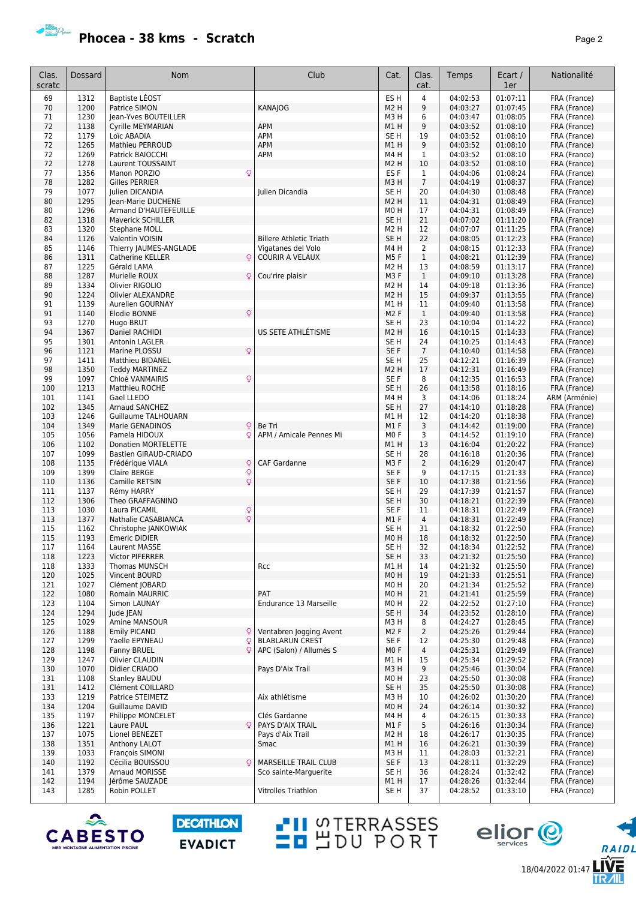

| Clas.<br>scratc | Dossard      | Nom                                        | Club                                              | Cat.                               | Clas.<br>cat.  | Temps                | Ecart /<br>1er       | Nationalité                   |
|-----------------|--------------|--------------------------------------------|---------------------------------------------------|------------------------------------|----------------|----------------------|----------------------|-------------------------------|
| 69              | 1312         | Baptiste LÉOST                             |                                                   | ES <sub>H</sub>                    | 4              | 04:02:53             | 01:07:11             | FRA (France)                  |
| 70              | 1200         | Patrice SIMON                              | <b>KANAJOG</b>                                    | M2 H                               | 9              | 04:03:27             | 01:07:45             | FRA (France)                  |
| 71              | 1230         | Jean-Yves BOUTEILLER                       |                                                   | M3H                                | 6              | 04:03:47             | 01:08:05             | FRA (France)                  |
| 72              | 1138         | <b>Cyrille MEYMARIAN</b>                   | APM                                               | M1 H                               | 9              | 04:03:52             | 01:08:10             | FRA (France)                  |
| 72<br>72        | 1179<br>1265 | Loïc ABADIA<br>Mathieu PERROUD             | <b>APM</b><br><b>APM</b>                          | SE <sub>H</sub><br>M1H             | 19<br>9        | 04:03:52<br>04:03:52 | 01:08:10<br>01:08:10 | FRA (France)<br>FRA (France)  |
| 72              | 1269         | Patrick BAIOCCHI                           | APM                                               | M4H                                | $\mathbf 1$    | 04:03:52             | 01:08:10             | FRA (France)                  |
| 72              | 1278         | Laurent TOUSSAINT                          |                                                   | M2 H                               | 10             | 04:03:52             | 01:08:10             | FRA (France)                  |
| 77              | 1356         | Manon PORZIO<br>Q                          |                                                   | ES F                               | $\mathbf{1}$   | 04:04:06             | 01:08:24             | FRA (France)                  |
| 78              | 1282         | <b>Gilles PERRIER</b>                      |                                                   | M3H                                | $\overline{7}$ | 04:04:19             | 01:08:37             | FRA (France)                  |
| 79              | 1077         | <b>Iulien DICANDIA</b>                     | Julien Dicandia                                   | SE H                               | 20             | 04:04:30             | 01:08:48             | FRA (France)                  |
| 80              | 1295         | Jean-Marie DUCHENE                         |                                                   | M <sub>2</sub> H                   | 11             | 04:04:31             | 01:08:49             | FRA (France)                  |
| 80<br>82        | 1296<br>1318 | Armand D'HAUTEFEUILLE<br>Maverick SCHILLER |                                                   | MO <sub>H</sub><br>SE <sub>H</sub> | 17<br>21       | 04:04:31<br>04:07:02 | 01:08:49<br>01:11:20 | FRA (France)<br>FRA (France)  |
| 83              | 1320         | Stephane MOLL                              |                                                   | M2 H                               | 12             | 04:07:07             | 01:11:25             | FRA (France)                  |
| 84              | 1126         | Valentin VOISIN                            | <b>Billere Athletic Triath</b>                    | SE <sub>H</sub>                    | 22             | 04:08:05             | 01:12:23             | FRA (France)                  |
| 85              | 1146         | Thierry JAUMES-ANGLADE                     | Vigatanes del Volo                                | M4H                                | 2              | 04:08:15             | 01:12:33             | FRA (France)                  |
| 86              | 1311         | <b>Catherine KELLER</b><br>Q               | <b>COURIR A VELAUX</b>                            | M5F                                | $\mathbf{1}$   | 04:08:21             | 01:12:39             | FRA (France)                  |
| 87              | 1225         | Gérald LAMA                                |                                                   | M2 H                               | 13             | 04:08:59             | 01:13:17             | FRA (France)                  |
| 88              | 1287         | Murielle ROUX<br>Q                         | Cou'rire plaisir                                  | M3F                                | $\mathbf{1}$   | 04:09:10             | 01:13:28             | FRA (France)                  |
| 89<br>90        | 1334<br>1224 | Olivier RIGOLIO<br>Olivier ALEXANDRE       |                                                   | M2 H<br>M <sub>2</sub> H           | 14<br>15       | 04:09:18<br>04:09:37 | 01:13:36<br>01:13:55 | FRA (France)                  |
| 91              | 1139         | Aurelien GOURNAY                           |                                                   | M1 H                               | 11             | 04:09:40             | 01:13:58             | FRA (France)<br>FRA (France)  |
| 91              | 1140         | Q<br>Elodie BONNE                          |                                                   | M2 F                               | $\mathbf{1}$   | 04:09:40             | 01:13:58             | FRA (France)                  |
| 93              | 1270         | Hugo BRUT                                  |                                                   | SE H                               | 23             | 04:10:04             | 01:14:22             | FRA (France)                  |
| 94              | 1367         | Daniel RACHIDI                             | US SETE ATHLÉTISME                                | M2 H                               | 16             | 04:10:15             | 01:14:33             | FRA (France)                  |
| 95              | 1301         | Antonin LAGLER                             |                                                   | SE <sub>H</sub>                    | 24             | 04:10:25             | 01:14:43             | FRA (France)                  |
| 96              | 1121         | Q<br>Marine PLOSSU                         |                                                   | SE F                               | $\overline{7}$ | 04:10:40             | 01:14:58             | FRA (France)                  |
| 97              | 1411         | <b>Matthieu BIDANEL</b>                    |                                                   | SE <sub>H</sub>                    | 25             | 04:12:21             | 01:16:39             | FRA (France)                  |
| 98              | 1350         | <b>Teddy MARTINEZ</b>                      |                                                   | M2 H                               | 17             | 04:12:31             | 01:16:49             | FRA (France)                  |
| 99<br>100       | 1097<br>1213 | Chloé VANMAIRIS<br>Q<br>Matthieu ROCHE     |                                                   | SE F<br>SE <sub>H</sub>            | 8<br>26        | 04:12:35<br>04:13:58 | 01:16:53<br>01:18:16 | FRA (France)                  |
| 101             | 1141         | Gael LLEDO                                 |                                                   | M4H                                | 3              | 04:14:06             | 01:18:24             | FRA (France)<br>ARM (Arménie) |
| 102             | 1345         | Arnaud SANCHEZ                             |                                                   | SE <sub>H</sub>                    | 27             | 04:14:10             | 01:18:28             | FRA (France)                  |
| 103             | 1246         | Guillaume TALHOUARN                        |                                                   | M1 H                               | 12             | 04:14:20             | 01:18:38             | FRA (France)                  |
| 104             | 1349         | Q<br>Marie GENADINOS                       | Be Tri                                            | M1F                                | 3              | 04:14:42             | 01:19:00             | FRA (France)                  |
| 105             | 1056         | Q<br>Pamela HIDOUX                         | APM / Amicale Pennes Mi                           | M <sub>0</sub> F                   | 3              | 04:14:52             | 01:19:10             | FRA (France)                  |
| 106             | 1102         | Donatien MORTELETTE                        |                                                   | M1H                                | 13             | 04:16:04             | 01:20:22             | FRA (France)                  |
| 107             | 1099         | Bastien GIRAUD-CRIADO                      |                                                   | SE <sub>H</sub>                    | 28             | 04:16:18             | 01:20:36             | FRA (France)                  |
| 108             | 1135         | Q<br>Frédérique VIALA                      | CAF Gardanne                                      | M3F                                | $\overline{2}$ | 04:16:29             | 01:20:47             | FRA (France)                  |
| 109<br>110      | 1399<br>1136 | Q<br>Claire BERGE<br>Q<br>Camille RETSIN   |                                                   | SE <sub>F</sub><br>SE F            | 9<br>10        | 04:17:15<br>04:17:38 | 01:21:33<br>01:21:56 | FRA (France)<br>FRA (France)  |
| 111             | 1137         | Rémy HARRY                                 |                                                   | SE <sub>H</sub>                    | 29             | 04:17:39             | 01:21:57             | FRA (France)                  |
| 112             | 1306         | Theo GRAFFAGNINO                           |                                                   | SE <sub>H</sub>                    | 30             | 04:18:21             | 01:22:39             | FRA (France)                  |
| 113             | 1030         | Q<br>Laura PICAMIL                         |                                                   | SE <sub>F</sub>                    | 11             | 04:18:31             | 01:22:49             | FRA (France)                  |
| 113             | 1377         | $\overline{Q}$<br>Nathalie CASABIANCA      |                                                   | M1F                                | $\overline{4}$ | 04:18:31             | 01:22:49             | FRA (France)                  |
| 115             | 1162         | Christophe JANKOWIAK                       |                                                   | SE H                               | 31             | 04:18:32             | 01:22:50             | FRA (France)                  |
| 115             | 1193         | <b>Emeric DIDIER</b>                       |                                                   | MO H                               | 18             | 04:18:32             | 01:22:50             | FRA (France)                  |
| 117             | 1164         | Laurent MASSE                              |                                                   | SE H                               | 32             | 04:18:34             | 01:22:52             | FRA (France)                  |
| 118<br>118      | 1223<br>1333 | <b>Victor PIFERRER</b><br>Thomas MUNSCH    | Rcc                                               | SE <sub>H</sub><br>M1 H            | 33<br>14       | 04:21:32<br>04:21:32 | 01:25:50<br>01:25:50 | FRA (France)<br>FRA (France)  |
| 120             | 1025         | Vincent BOURD                              |                                                   | M0H                                | 19             | 04:21:33             | 01:25:51             | FRA (France)                  |
| 121             | 1027         | Clément JOBARD                             |                                                   | M0H                                | 20             | 04:21:34             | 01:25:52             | FRA (France)                  |
| 122             | 1080         | Romain MAURRIC                             | PAT                                               | M0H                                | 21             | 04:21:41             | 01:25:59             | FRA (France)                  |
| 123             | 1104         | Simon LAUNAY                               | Endurance 13 Marseille                            | MO H                               | 22             | 04:22:52             | 01:27:10             | FRA (France)                  |
| 124             | 1294         | Jude JEAN                                  |                                                   | SE <sub>H</sub>                    | 34             | 04:23:52             | 01:28:10             | FRA (France)                  |
| 125             | 1029         | Amine MANSOUR                              |                                                   | M3H                                | 8              | 04:24:27             | 01:28:45             | FRA (France)                  |
| 126             | 1188         | <b>Emily PICAND</b><br>Q                   | Ventabren Jogging Avent                           | M <sub>2</sub> F                   | $\overline{2}$ | 04:25:26             | 01:29:44             | FRA (France)                  |
| 127<br>128      | 1299<br>1198 | Q<br>Yaelle EPYNEAU<br>Fanny BRUEL<br>Q    | <b>BLABLARUN CREST</b><br>APC (Salon) / Allumés S | SE F<br>MO F                       | 12<br>4        | 04:25:30<br>04:25:31 | 01:29:48<br>01:29:49 | FRA (France)<br>FRA (France)  |
| 129             | 1247         | Olivier CLAUDIN                            |                                                   | M1 H                               | 15             | 04:25:34             | 01:29:52             | FRA (France)                  |
| 130             | 1070         | Didier CRIADO                              | Pays D'Aix Trail                                  | M3H                                | 9              | 04:25:46             | 01:30:04             | FRA (France)                  |
| 131             | 1108         | <b>Stanley BAUDU</b>                       |                                                   | M0H                                | 23             | 04:25:50             | 01:30:08             | FRA (France)                  |
| 131             | 1412         | Clément COILLARD                           |                                                   | SE H                               | 35             | 04:25:50             | 01:30:08             | FRA (France)                  |
| 133             | 1219         | Patrice STEIMETZ                           | Aix athlétisme                                    | M3H                                | 10             | 04:26:02             | 01:30:20             | FRA (France)                  |
| 134             | 1204         | Guillaume DAVID                            |                                                   | M0H                                | 24             | 04:26:14             | 01:30:32             | FRA (France)                  |
| 135             | 1197         | Philippe MONCELET                          | Clés Gardanne                                     | M4 H                               | 4              | 04:26:15             | 01:30:33             | FRA (France)                  |
| 136             | 1221         | Laure PAUL<br>C                            | PAYS D'AIX TRAIL                                  | M1F                                | 5              | 04:26:16             | 01:30:34<br>01:30:35 | FRA (France)                  |
| 137<br>138      | 1075<br>1351 | Lionel BENEZET<br>Anthony LALOT            | Pays d'Aix Trail<br>Smac                          | M2 H<br>M1H                        | 18<br>16       | 04:26:17<br>04:26:21 | 01:30:39             | FRA (France)<br>FRA (France)  |
| 139             | 1033         | François SIMONI                            |                                                   | M3H                                | 11             | 04:28:03             | 01:32:21             | FRA (France)                  |
| 140             | 1192         | Cécilia BOUISSOU<br>Ç                      | <b>MARSEILLE TRAIL CLUB</b>                       | SE F                               | 13             | 04:28:11             | 01:32:29             | FRA (France)                  |
| 141             | 1379         | Arnaud MORISSE                             | Sco sainte-Marguerite                             | SE H                               | 36             | 04:28:24             | 01:32:42             | FRA (France)                  |
| 142             | 1194         | Jérôme SAUZADE                             |                                                   | M1H                                | 17             | 04:28:26             | 01:32:44             | FRA (France)                  |
| 143             | 1285         | Robin POLLET                               | <b>Vitrolles Triathlon</b>                        | SE H                               | 37             | 04:28:52             | 01:33:10             | FRA (France)                  |



**DECATHLON EVADICT** 

**TH** STERRASSES



18/04/2022 01:47

RAIDL

**LIVE**<br>TR*A*IL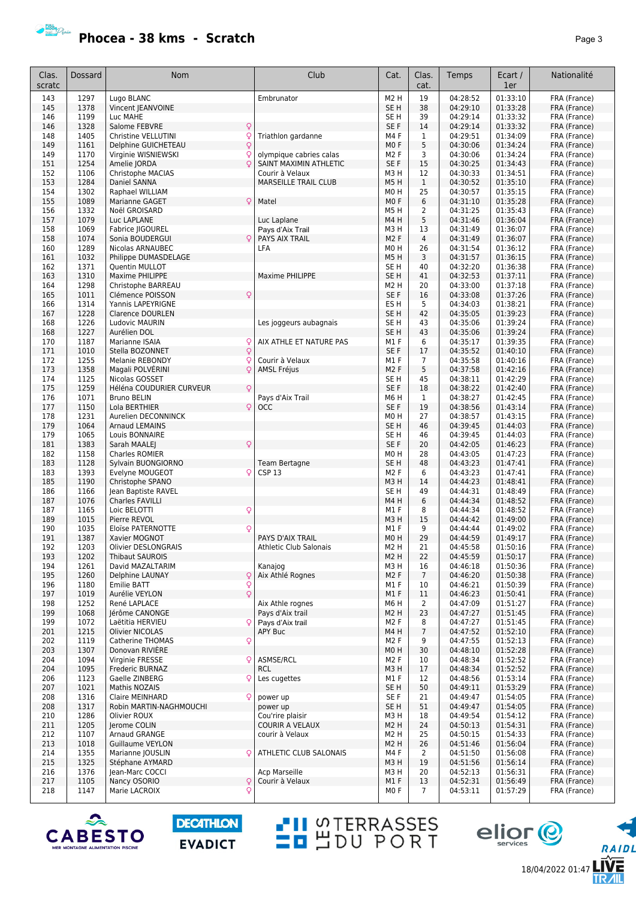## **Phocea - 38 kms - Scratch Phocea - 38 kms - Scratch**

| Clas.<br>scratc | Dossard      | <b>Nom</b>                                     | Club                                 | Cat.                                 | Clas.<br>cat.        | Temps                | Ecart /<br>1er       | Nationalité                  |
|-----------------|--------------|------------------------------------------------|--------------------------------------|--------------------------------------|----------------------|----------------------|----------------------|------------------------------|
| 143             | 1297         | Lugo BLANC                                     | Embrunator                           | M <sub>2</sub> H                     | 19                   | 04:28:52             | 01:33:10             | FRA (France)                 |
| 145             | 1378         | Vincent JEANVOINE                              |                                      | SE <sub>H</sub>                      | 38                   | 04:29:10             | 01:33:28             | FRA (France)                 |
| 146             | 1199         | Luc MAHE                                       |                                      | SE <sub>H</sub>                      | 39                   | 04:29:14             | 01:33:32             | FRA (France)                 |
| 146             | 1328         | Salome FEBVRE<br>Q                             |                                      | SE F                                 | 14                   | 04:29:14             | 01:33:32             | FRA (France)                 |
| 148             | 1405         | Q<br>Christine VELLUTINI                       | Triathlon gardanne                   | M4F                                  | 1                    | 04:29:51             | 01:34:09             | FRA (France)                 |
| 149             | 1161         | $\overline{Q}$<br>Delphine GUICHETEAU          |                                      | M <sub>0</sub> F                     | 5                    | 04:30:06             | 01:34:24             | FRA (France)                 |
| 149             | 1170         | Virginie WISNIEWSKI                            | olympique cabries calas              | M <sub>2</sub> F                     | 3                    | 04:30:06             | 01:34:24             | FRA (France)                 |
| 151             | 1254         | $\circ$<br>Amelie JORDA                        | SAINT MAXIMIN ATHLETIC               | SE F                                 | 15                   | 04:30:25             | 01:34:43             | FRA (France)                 |
| 152             | 1106         | Christophe MACIAS                              | Courir à Velaux                      | M3H                                  | 12                   | 04:30:33             | 01:34:51             | FRA (France)                 |
| 153             | 1284         | Daniel SANNA                                   | <b>MARSEILLE TRAIL CLUB</b>          | M <sub>5</sub> H                     | $\mathbf{1}$         | 04:30:52             | 01:35:10             | FRA (France)                 |
| 154             | 1302         | Raphael WILLIAM                                |                                      | M <sub>0</sub> H                     | 25                   | 04:30:57             | 01:35:15             | FRA (France)                 |
| 155             | 1089         | Q<br>Marianne GAGET                            | Matel                                | M <sub>0</sub> F                     | 6                    | 04:31:10             | 01:35:28             | FRA (France)                 |
| 156             | 1332         | Noël GROISARD                                  |                                      | M5H                                  | 2                    | 04:31:25             | 01:35:43             | FRA (France)                 |
| 157<br>158      | 1079<br>1069 | Luc LAPLANE                                    | Luc Laplane                          | M4H<br>M3H                           | 5<br>13              | 04:31:46<br>04:31:49 | 01:36:04             | FRA (France)                 |
| 158             | 1074         | Fabrice JIGOUREL<br>Sonia BOUDERGUI            | Pays d'Aix Trail<br>PAYS AIX TRAIL   | M <sub>2</sub> F                     | $\overline{4}$       | 04:31:49             | 01:36:07<br>01:36:07 | FRA (France)<br>FRA (France) |
| 160             | 1289         | Nicolas ARNAUBEC                               | LFA                                  | M <sub>0</sub> H                     | 26                   | 04:31:54             | 01:36:12             | FRA (France)                 |
| 161             | 1032         | Philippe DUMASDELAGE                           |                                      | M5H                                  | 3                    | 04:31:57             | 01:36:15             | FRA (France)                 |
| 162             | 1371         | Quentin MULLOT                                 |                                      | SE <sub>H</sub>                      | 40                   | 04:32:20             | 01:36:38             | FRA (France)                 |
| 163             | 1310         | Maxime PHILIPPE                                | Maxime PHILIPPE                      | SE <sub>H</sub>                      | 41                   | 04:32:53             | 01:37:11             | FRA (France)                 |
| 164             | 1298         | Christophe BARREAU                             |                                      | M <sub>2</sub> H                     | 20                   | 04:33:00             | 01:37:18             | FRA (France)                 |
| 165             | 1011         | $\mathsf{Q}$<br>Clémence POISSON               |                                      | SE F                                 | 16                   | 04:33:08             | 01:37:26             | FRA (France)                 |
| 166             | 1314         | Yannis LAPEYRIGNE                              |                                      | ES <sub>H</sub>                      | 5                    | 04:34:03             | 01:38:21             | FRA (France)                 |
| 167             | 1228         | <b>Clarence DOURLEN</b>                        |                                      | SE H                                 | 42                   | 04:35:05             | 01:39:23             | FRA (France)                 |
| 168             | 1226         | Ludovic MAURIN                                 | Les joggeurs aubagnais               | SE H                                 | 43                   | 04:35:06             | 01:39:24             | FRA (France)                 |
| 168             | 1227         | Aurélien DOL                                   |                                      | SE <sub>H</sub>                      | 43                   | 04:35:06             | 01:39:24             | FRA (France)                 |
| 170             | 1187         | Marianne ISAIA<br>Q                            | AIX ATHLE ET NATURE PAS              | M1F                                  | 6                    | 04:35:17             | 01:39:35             | FRA (France)                 |
| 171             | 1010         | $\overline{Q}$<br>Stella BOZONNET              |                                      | SE F                                 | 17                   | 04:35:52             | 01:40:10             | FRA (France)                 |
| 172             | 1255         | Melanie REBONDY<br>Q                           | Courir à Velaux                      | M1F                                  | $\overline{7}$       | 04:35:58             | 01:40:16             | FRA (France)                 |
| 173             | 1358         | $\overline{Q}$<br>Magali POLVÉRINI             | <b>AMSL Fréjus</b>                   | M <sub>2</sub> F                     | 5                    | 04:37:58             | 01:42:16             | FRA (France)                 |
| 174             | 1125         | Nicolas GOSSET                                 |                                      | SE H                                 | 45                   | 04:38:11             | 01:42:29             | FRA (France)                 |
| 175             | 1259         | Héléna COUDURIER CURVEUR<br>Q                  |                                      | SE F                                 | 18                   | 04:38:22             | 01:42:40             | FRA (France)                 |
| 176             | 1071         | <b>Bruno BELIN</b>                             | Pays d'Aix Trail                     | M6H                                  | $\mathbf{1}$         | 04:38:27             | 01:42:45             | FRA (France)                 |
| 177             | 1150         | Q<br>Lola BERTHIER                             | <b>OCC</b>                           | SE F                                 | 19                   | 04:38:56             | 01:43:14             | FRA (France)                 |
| 178             | 1231         | Aurelien DECONNINCK                            |                                      | M <sub>0</sub> H                     | 27                   | 04:38:57             | 01:43:15             | FRA (France)                 |
| 179<br>179      | 1064<br>1065 | <b>Arnaud LEMAINS</b>                          |                                      | SE <sub>H</sub><br>SE H              | 46<br>46             | 04:39:45<br>04:39:45 | 01:44:03<br>01:44:03 | FRA (France)                 |
| 181             | 1383         | Louis BONNAIRE<br>$\mathsf{Q}$<br>Sarah MAALEJ |                                      | SE F                                 | 20                   | 04:42:05             | 01:46:23             | FRA (France)<br>FRA (France) |
| 182             | 1158         | Charles ROMIER                                 |                                      | M <sub>0</sub> H                     | 28                   | 04:43:05             | 01:47:23             | FRA (France)                 |
| 183             | 1128         | Sylvain BUONGIORNO                             | <b>Team Bertagne</b>                 | SE <sub>H</sub>                      | 48                   | 04:43:23             | 01:47:41             | FRA (France)                 |
| 183             | 1393         | Q<br>Evelyne MOUGEOT                           | CSP <sub>13</sub>                    | M <sub>2</sub> F                     | 6                    | 04:43:23             | 01:47:41             | FRA (France)                 |
| 185             | 1190         | Christophe SPANO                               |                                      | M3H                                  | 14                   | 04:44:23             | 01:48:41             | FRA (France)                 |
| 186             | 1166         | Jean Baptiste RAVEL                            |                                      | SE <sub>H</sub>                      | 49                   | 04:44:31             | 01:48:49             | FRA (France)                 |
| 187             | 1076         | Charles FAVILLI                                |                                      | M4H                                  | 6                    | 04:44:34             | 01:48:52             | FRA (France)                 |
| 187             | 1165         | Q<br>Loic BELOTTI                              |                                      | M1F                                  | 8                    | 04:44:34             | 01:48:52             | FRA (France)                 |
| 189             | 1015         | Pierre REVOL                                   |                                      | M3H                                  | 15                   | 04:44:42             | 01:49:00             | FRA (France)                 |
| 190             | 1035         | Eloïse PATERNOTTE<br>Q                         |                                      | M1F                                  | 9                    | 04:44:44             | 01:49:02             | FRA (France)                 |
| 191             | 1387         | Xavier MOGNOT                                  | PAYS D'AIX TRAIL                     | M <sub>0</sub> H                     | 29                   | 04:44:59             | 01:49:17             | FRA (France)                 |
| 192             | 1203         | Olivier DESLONGRAIS                            | <b>Athletic Club Salonais</b>        | M <sub>2</sub> H                     | 21                   | 04:45:58             | 01:50:16             | FRA (France)                 |
| 193             | 1202         | <b>Thibaut SAUROIS</b>                         |                                      | M <sub>2</sub> H                     | 22                   | 04:45:59             | 01:50:17             | FRA (France)                 |
| 194             | 1261         | David MAZALTARIM                               | Kanajog                              | M3H                                  | 16                   | 04:46:18             | 01:50:36             | FRA (France)                 |
| 195             | 1260         | $\mathsf{Q}$<br>Delphine LAUNAY                | Aix Athlé Rognes                     | M <sub>2</sub> F                     | $7\overline{ }$      | 04:46:20             | 01:50:38             | FRA (France)                 |
| 196             | 1180         | $\frac{1}{2}$<br>Emilie BATT                   |                                      | M1F                                  | 10                   | 04:46:21             | 01:50:39             | FRA (France)                 |
| 197             | 1019         | Aurélie VEYLON                                 |                                      | M1F                                  | 11                   | 04:46:23             | 01:50:41             | FRA (France)                 |
| 198             | 1252<br>1068 | René LAPLACE                                   | Aix Athle rognes                     | M6H                                  | $\overline{2}$<br>23 | 04:47:09             | 01:51:27             | FRA (France)                 |
| 199<br>199      | 1072         | Jérôme CANONGE<br>Laëtitia HERVIEU<br>Q        | Pays d'Aix trail<br>Pays d'Aix trail | M <sub>2</sub> H<br>M <sub>2</sub> F | 8                    | 04:47:27<br>04:47:27 | 01:51:45<br>01:51:45 | FRA (France)<br>FRA (France) |
| 201             | 1215         | <b>Olivier NICOLAS</b>                         | APY Buc                              | M4H                                  | $\overline{7}$       | 04:47:52             | 01:52:10             | FRA (France)                 |
| 202             | 1119         | Q<br>Catherine THOMAS                          |                                      | M <sub>2</sub> F                     | 9                    | 04:47:55             | 01:52:13             | FRA (France)                 |
| 203             | 1307         | Donovan RIVIERE                                |                                      | M <sub>0</sub> H                     | 30                   | 04:48:10             | 01:52:28             | FRA (France)                 |
| 204             | 1094         | Q<br>Virginie FRESSE                           | ASMSE/RCL                            | M <sub>2</sub> F                     | 10                   | 04:48:34             | 01:52:52             | FRA (France)                 |
| 204             | 1095         | Frederic BURNAZ                                | <b>RCL</b>                           | M3H                                  | 17                   | 04:48:34             | 01:52:52             | FRA (France)                 |
| 206             | 1123         | Gaelle ZINBERG<br>Q                            | Les cugettes                         | M1 F                                 | 12                   | 04:48:56             | 01:53:14             | FRA (France)                 |
| 207             | 1021         | Mathis NOZAIS                                  |                                      | SE H                                 | 50                   | 04:49:11             | 01:53:29             | FRA (France)                 |
| 208             | 1316         | Claire MEINHARD<br>Q                           | power up                             | SE F                                 | 21                   | 04:49:47             | 01:54:05             | FRA (France)                 |
| 208             | 1317         | Robin MARTIN-NAGHMOUCHI                        | power up                             | SE <sub>H</sub>                      | 51                   | 04:49:47             | 01:54:05             | FRA (France)                 |
| 210             | 1286         | Olivier ROUX                                   | Cou'rire plaisir                     | M3H                                  | 18                   | 04:49:54             | 01:54:12             | FRA (France)                 |
| 211             | 1205         | Jerome COLIN                                   | COURIR A VELAUX                      | M <sub>2</sub> H                     | 24                   | 04:50:13             | 01:54:31             | FRA (France)                 |
| 212             | 1107         | Arnaud GRANGE                                  | courir à Velaux                      | M <sub>2</sub> H                     | 25                   | 04:50:15             | 01:54:33             | FRA (France)                 |
| 213             | 1018         | <b>Guillaume VEYLON</b>                        |                                      | M <sub>2</sub> H                     | 26                   | 04:51:46             | 01:56:04             | FRA (France)                 |
| 214             | 1355         | Marianne JOUSLIN<br>Q                          | ATHLETIC CLUB SALONAIS               | M4F                                  | $\overline{2}$       | 04:51:50             | 01:56:08             | FRA (France)                 |
| 215             | 1325         | Stéphane AYMARD                                |                                      | M3H                                  | 19                   | 04:51:56             | 01:56:14             | FRA (France)                 |
| 216             | 1376         | Jean-Marc COCCI                                | Acp Marseille                        | M3H                                  | 20                   | 04:52:13             | 01:56:31             | FRA (France)                 |
| 217             | 1105         | Q<br>Nancy OSORIO                              | Courir à Velaux                      | M1F                                  | 13                   | 04:52:31             | 01:56:49             | FRA (France)                 |
| 218             | 1147         | Marie LACROIX<br>Q                             |                                      | MO F                                 | $\overline{7}$       | 04:53:11             | 01:57:29             | FRA (France)                 |



**DECATHLON EVADICT**  **-U** STERRASSES<br>**-B** SDU PORT eljor<sup>@</sup>

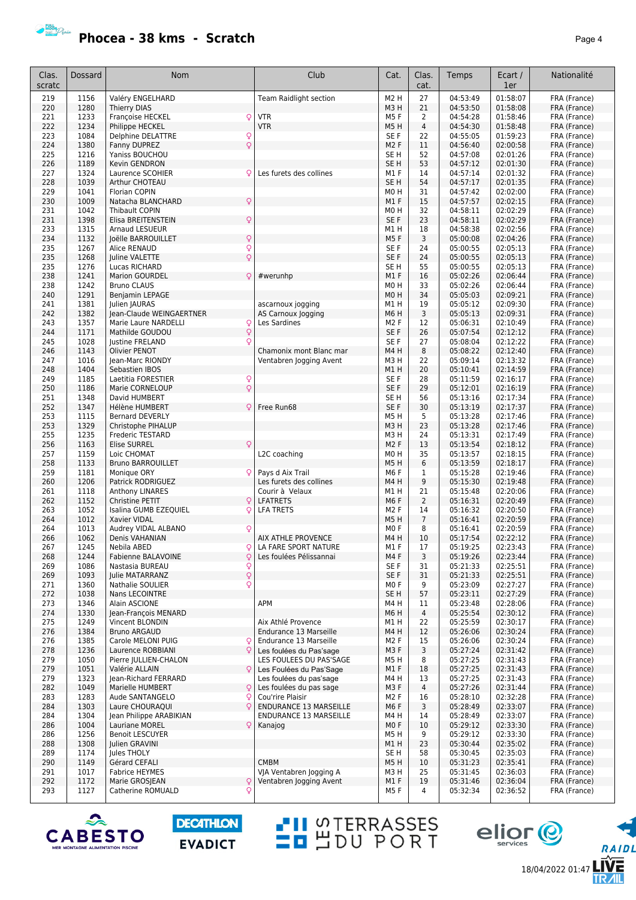

**Phocea - 38 kms - Scratch Phocea - 38 kms - Scratch** 

18/04/2022 01:47

RAIDL

**LĪŸĒ<br>TR***A***IL** 

eljor<sup>e</sup>

| Clas.      | Dossard      | <b>Nom</b>                                        | Club                                               | Cat.                    | Clas.               | Temps                | Ecart /              | Nationalité                  |
|------------|--------------|---------------------------------------------------|----------------------------------------------------|-------------------------|---------------------|----------------------|----------------------|------------------------------|
| scratc     |              |                                                   |                                                    |                         | cat.                |                      | 1er                  |                              |
| 219        | 1156         | Valéry ENGELHARD                                  | <b>Team Raidlight section</b>                      | M <sub>2</sub> H        | 27                  | 04:53:49             | 01:58:07             | FRA (France)                 |
| 220        | 1280         | Thierry DIAS                                      |                                                    | M3H                     | 21                  | 04:53:50             | 01:58:08             | FRA (France)                 |
| 221        | 1233         | Françoise HECKEL<br>Q                             | <b>VTR</b>                                         | M5F                     | 2                   | 04:54:28             | 01:58:46             | FRA (France)                 |
| 222        | 1234         | Philippe HECKEL                                   | <b>VTR</b>                                         | M5H                     | $\overline{4}$      | 04:54:30             | 01:58:48             | FRA (France)                 |
| 223        | 1084         | Delphine DELATTRE<br>Q                            |                                                    | SE F                    | 22                  | 04:55:05             | 01:59:23             | FRA (France)                 |
| 224        | 1380         | Q<br>Fanny DUPREZ                                 |                                                    | M <sub>2</sub> F        | 11                  | 04:56:40             | 02:00:58             | FRA (France)                 |
| 225<br>226 | 1216<br>1189 | Yaniss BOUCHOU<br>Kevin GENDRON                   |                                                    | SE H<br>SE <sub>H</sub> | 52<br>53            | 04:57:08<br>04:57:12 | 02:01:26<br>02:01:30 | FRA (France)<br>FRA (France) |
| 227        | 1324         | Laurence SCOHIER<br>Q                             | Les furets des collines                            | M1 F                    | 14                  | 04:57:14             | 02:01:32             | FRA (France)                 |
| 228        | 1039         | Arthur CHOTEAU                                    |                                                    | SE <sub>H</sub>         | 54                  | 04:57:17             | 02:01:35             | FRA (France)                 |
| 229        | 1041         | Florian COPIN                                     |                                                    | M <sub>0</sub> H        | 31                  | 04:57:42             | 02:02:00             | FRA (France)                 |
| 230        | 1009         | Q<br>Natacha BLANCHARD                            |                                                    | M1F                     | 15                  | 04:57:57             | 02:02:15             | FRA (France)                 |
| 231        | 1042         | <b>Thibault COPIN</b>                             |                                                    | M <sub>0</sub> H        | 32                  | 04:58:11             | 02:02:29             | FRA (France)                 |
| 231        | 1398         | Q<br>Elisa BREITENSTEIN                           |                                                    | SE F                    | 23                  | 04:58:11             | 02:02:29             | FRA (France)                 |
| 233        | 1315         | <b>Arnaud LESUEUR</b>                             |                                                    | M1 H                    | 18                  | 04:58:38             | 02:02:56             | FRA (France)                 |
| 234        | 1132         | Q<br>Joëlle BARROUILLET                           |                                                    | M5F                     | 3                   | 05:00:08             | 02:04:26             | FRA (France)                 |
| 235        | 1267         | Q<br>Alice RENAUD                                 |                                                    | SE F                    | 24                  | 05:00:55             | 02:05:13             | FRA (France)                 |
| 235        | 1268         | Q<br>Juline VALETTE                               |                                                    | SE F                    | 24                  | 05:00:55             | 02:05:13             | FRA (France)                 |
| 235<br>238 | 1276         | Lucas RICHARD                                     |                                                    | SE H                    | 55<br>16            | 05:00:55             | 02:05:13<br>02:06:44 | FRA (France)                 |
| 238        | 1241<br>1242 | <b>Marion GOURDEL</b><br>Q<br><b>Bruno CLAUS</b>  | #werunhp                                           | M1F<br>MO <sub>H</sub>  | 33                  | 05:02:26<br>05:02:26 | 02:06:44             | FRA (France)<br>FRA (France) |
| 240        | 1291         | Benjamin LEPAGE                                   |                                                    | M <sub>0</sub> H        | 34                  | 05:05:03             | 02:09:21             | FRA (France)                 |
| 241        | 1381         | Julien JAURAS                                     | ascarnoux jogging                                  | M1 H                    | 19                  | 05:05:12             | 02:09:30             | FRA (France)                 |
| 242        | 1382         | Jean-Claude WEINGAERTNER                          | AS Carnoux Jogging                                 | M6H                     | 3                   | 05:05:13             | 02:09:31             | FRA (France)                 |
| 243        | 1357         | Q<br>Marie Laure NARDELLI                         | Les Sardines                                       | M <sub>2</sub> F        | 12                  | 05:06:31             | 02:10:49             | FRA (France)                 |
| 244        | 1171         | $\mathsf{Q}$<br>Mathilde GOUDOU                   |                                                    | SE F                    | 26                  | 05:07:54             | 02:12:12             | FRA (France)                 |
| 245        | 1028         | Q<br>Justine FRELAND                              |                                                    | SE F                    | 27                  | 05:08:04             | 02:12:22             | FRA (France)                 |
| 246        | 1143         | Olivier PENOT                                     | Chamonix mont Blanc mar                            | M4H                     | 8                   | 05:08:22             | 02:12:40             | FRA (France)                 |
| 247        | 1016         | Jean-Marc RIONDY                                  | Ventabren Jogging Avent                            | M3H                     | 22                  | 05:09:14             | 02:13:32             | FRA (France)                 |
| 248        | 1404         | Sebastien IBOS                                    |                                                    | M1H                     | 20                  | 05:10:41             | 02:14:59             | FRA (France)                 |
| 249        | 1185         | Q<br>Laetitia FORESTIER                           |                                                    | SE F                    | 28                  | 05:11:59             | 02:16:17             | FRA (France)                 |
| 250        | 1186         | Q<br>Marie CORNELOUP                              |                                                    | SE F                    | 29                  | 05:12:01             | 02:16:19             | FRA (France)                 |
| 251        | 1348         | David HUMBERT<br>Q                                |                                                    | SE H                    | 56<br>30            | 05:13:16             | 02:17:34             | FRA (France)                 |
| 252<br>253 | 1347<br>1115 | Hélène HUMBERT<br><b>Bernard DEVERLY</b>          | Free Run68                                         | SE F<br>M5H             | 5                   | 05:13:19<br>05:13:28 | 02:17:37<br>02:17:46 | FRA (France)<br>FRA (France) |
| 253        | 1329         | Christophe PIHALUP                                |                                                    | M3H                     | 23                  | 05:13:28             | 02:17:46             | FRA (France)                 |
| 255        | 1235         | Frederic TESTARD                                  |                                                    | M3 H                    | 24                  | 05:13:31             | 02:17:49             | FRA (France)                 |
| 256        | 1163         | <b>Elise SURREL</b><br>Q                          |                                                    | M <sub>2</sub> F        | 13                  | 05:13:54             | 02:18:12             | FRA (France)                 |
| 257        | 1159         | Loic CHOMAT                                       | L2C coaching                                       | MO <sub>H</sub>         | 35                  | 05:13:57             | 02:18:15             | FRA (France)                 |
| 258        | 1133         | <b>Bruno BARROUILLET</b>                          |                                                    | M5 H                    | 6                   | 05:13:59             | 02:18:17             | FRA (France)                 |
| 259        | 1181         | Q<br>Monique ORY                                  | Pays d Aix Trail                                   | M <sub>6</sub> F        | 1                   | 05:15:28             | 02:19:46             | FRA (France)                 |
| 260        | 1206         | Patrick RODRIGUEZ                                 | Les furets des collines                            | M4H                     | 9                   | 05:15:30             | 02:19:48             | FRA (France)                 |
| 261        | 1118         | Anthony LINARES                                   | Courir à Velaux                                    | M1H                     | 21                  | 05:15:48             | 02:20:06             | FRA (France)                 |
| 262        | 1152         | Christine PETIT<br>Q                              | <b>LFATRETS</b>                                    | M6F                     | $\overline{2}$      | 05:16:31             | 02:20:49             | FRA (France)                 |
| 263        | 1052         | Isalina GUMB EZEQUIEL<br>Q                        | <b>LFA TRETS</b>                                   | M <sub>2</sub> F        | 14                  | 05:16:32             | 02:20:50             | FRA (France)                 |
| 264<br>264 | 1012<br>1013 | Xavier VIDAL<br>Q                                 |                                                    | M5 H<br>MO <sub>F</sub> | $\overline{7}$<br>8 | 05:16:41<br>05:16:41 | 02:20:59<br>02:20:59 | FRA (France)                 |
| 266        | 1062         | Audrey VIDAL ALBANO<br>Denis VAHANIAN             | AIX ATHLE PROVENCE                                 | M4H                     | 10                  | 05:17:54             | 02:22:12             | FRA (France)<br>FRA (France) |
| 267        | 1245         | Nebila ABED<br>Q                                  | LA FARE SPORT NATURE                               | M1F                     | 17                  | 05:19:25             | 02:23:43             | FRA (France)                 |
| 268        | 1244         | Fabienne BALAVOINE<br>Q                           | Les foulées Pélissannai                            | M4 F                    | 3                   | 05:19:26             | 02:23:44             | FRA (France)                 |
| 269        | 1086         | Q<br>Nastasia BUREAU                              |                                                    | SE F                    | 31                  | 05:21:33             | 02:25:51             | FRA (France)                 |
| 269        | 1093         | $\hbox{\large\textsf{Q}}$<br>Julie MATARRANZ      |                                                    | SE F                    | 31                  | 05:21:33             | 02:25:51             | FRA (France)                 |
| 271        | 1360         | Q<br>Nathalie SOULIER                             |                                                    | M <sub>0</sub> F        | 9                   | 05:23:09             | 02:27:27             | FRA (France)                 |
| 272        | 1038         | Nans LECOINTRE                                    |                                                    | SE H                    | 57                  | 05:23:11             | 02:27:29             | FRA (France)                 |
| 273        | 1346         | Alain ASCIONE                                     | <b>APM</b>                                         | M4H                     | 11                  | 05:23:48             | 02:28:06             | FRA (France)                 |
| 274        | 1330         | Jean-François MENARD                              |                                                    | M6 H                    | 4                   | 05:25:54             | 02:30:12             | FRA (France)                 |
| 275        | 1249         | Vincent BLONDIN                                   | Aix Athlé Provence                                 | M1 H                    | 22                  | 05:25:59             | 02:30:17             | FRA (France)                 |
| 276        | 1384         | <b>Bruno ARGAUD</b>                               | Endurance 13 Marseille                             | M4H                     | 12                  | 05:26:06             | 02:30:24             | FRA (France)                 |
| 276<br>278 | 1385<br>1236 | Carole MELONI PUIG<br>Q<br>Q<br>Laurence ROBBIANI | Endurance 13 Marseille                             | M2 F<br>M3 F            | 15<br>3             | 05:26:06<br>05:27:24 | 02:30:24<br>02:31:42 | FRA (France)                 |
| 279        | 1050         | Pierre JULLIEN-CHALON                             | Les foulées du Pas'sage<br>LES FOULEES DU PAS'SAGE | M5 H                    | 8                   | 05:27:25             | 02:31:43             | FRA (France)<br>FRA (France) |
| 279        | 1051         | Valérie ALLAIN<br>Q                               | Les Foulées du Pas'Sage                            | M1F                     | 18                  | 05:27:25             | 02:31:43             | FRA (France)                 |
| 279        | 1323         | Jean-Richard FERRARD                              | Les foulées du pas'sage                            | M4 H                    | 13                  | 05:27:25             | 02:31:43             | FRA (France)                 |
| 282        | 1049         | $\mathsf{Q}$<br>Marielle HUMBERT                  | Les foulées du pas sage                            | M3F                     | 4                   | 05:27:26             | 02:31:44             | FRA (France)                 |
| 283        | 1283         | Q<br>Aude SANTANGELO                              | Cou'rire Plaisir                                   | M2 F                    | 16                  | 05:28:10             | 02:32:28             | FRA (France)                 |
| 284        | 1303         | Q<br>Laure CHOURAQUI                              | ENDURANCE 13 MARSEILLE                             | M6 F                    | 3                   | 05:28:49             | 02:33:07             | FRA (France)                 |
| 284        | 1304         | Jean Philippe ARABIKIAN                           | <b>ENDURANCE 13 MARSEILLE</b>                      | M4 H                    | 14                  | 05:28:49             | 02:33:07             | FRA (France)                 |
| 286        | 1004         | Lauriane MOREL<br>Ç                               | Kanajog                                            | MO F                    | 10                  | 05:29:12             | 02:33:30             | FRA (France)                 |
| 286        | 1256         | <b>Benoit LESCUYER</b>                            |                                                    | M5 H                    | 9                   | 05:29:12             | 02:33:30             | FRA (France)                 |
| 288        | 1308         | Julien GRAVINI                                    |                                                    | M1 H                    | 23                  | 05:30:44             | 02:35:02             | FRA (France)                 |
| 289        | 1174         | Jules THOLY                                       |                                                    | SE H                    | 58                  | 05:30:45             | 02:35:03             | FRA (France)                 |
| 290        | 1149         | Gérard CEFALI                                     | <b>CMBM</b><br>VJA Ventabren Jogging A             | M5H                     | 10                  | 05:31:23<br>05:31:45 | 02:35:41<br>02:36:03 | FRA (France)                 |
| 291<br>292 | 1017<br>1172 | <b>Fabrice HEYMES</b><br>Q<br>Marie GROSJEAN      | Ventabren Jogging Avent                            | мз н<br>M1 F            | 25<br>19            | 05:31:46             | 02:36:04             | FRA (France)<br>FRA (France) |
| 293        | 1127         | Q<br>Catherine ROMUALD                            |                                                    | M5 F                    | 4                   | 05:32:34             | 02:36:52             | FRA (France)                 |



**DECATHLON EVADICT** 

**TH** STERRASSES